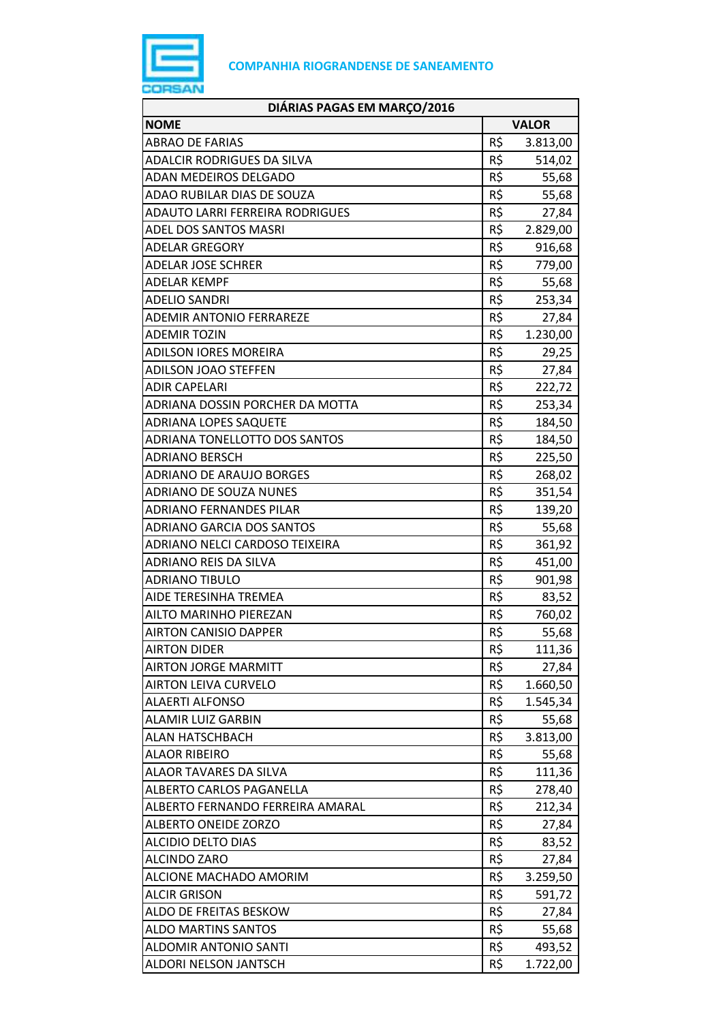

| DIÁRIAS PAGAS EM MARÇO/2016       |              |          |
|-----------------------------------|--------------|----------|
| <b>NOME</b>                       | <b>VALOR</b> |          |
| <b>ABRAO DE FARIAS</b>            | R\$          | 3.813,00 |
| <b>ADALCIR RODRIGUES DA SILVA</b> | R\$          | 514,02   |
| ADAN MEDEIROS DELGADO             | R\$          | 55,68    |
| ADAO RUBILAR DIAS DE SOUZA        | R\$          | 55,68    |
| ADAUTO LARRI FERREIRA RODRIGUES   | R\$          | 27,84    |
| ADEL DOS SANTOS MASRI             | R\$          | 2.829,00 |
| <b>ADELAR GREGORY</b>             | R\$          | 916,68   |
| ADELAR JOSE SCHRER                | R\$          | 779,00   |
| ADELAR KEMPF                      | R\$          | 55,68    |
| <b>ADELIO SANDRI</b>              | R\$          | 253,34   |
| <b>ADEMIR ANTONIO FERRAREZE</b>   | R\$          | 27,84    |
| <b>ADEMIR TOZIN</b>               | R\$          | 1.230,00 |
| <b>ADILSON IORES MOREIRA</b>      | R\$          | 29,25    |
| <b>ADILSON JOAO STEFFEN</b>       | R\$          | 27,84    |
| ADIR CAPELARI                     | R\$          | 222,72   |
| ADRIANA DOSSIN PORCHER DA MOTTA   | R\$          | 253,34   |
| <b>ADRIANA LOPES SAQUETE</b>      | R\$          | 184,50   |
| ADRIANA TONELLOTTO DOS SANTOS     | R\$          | 184,50   |
| <b>ADRIANO BERSCH</b>             | R\$          | 225,50   |
| <b>ADRIANO DE ARAUJO BORGES</b>   | R\$          | 268,02   |
| <b>ADRIANO DE SOUZA NUNES</b>     | R\$          | 351,54   |
| <b>ADRIANO FERNANDES PILAR</b>    | R\$          | 139,20   |
| ADRIANO GARCIA DOS SANTOS         | R\$          | 55,68    |
| ADRIANO NELCI CARDOSO TEIXEIRA    | R\$          | 361,92   |
| ADRIANO REIS DA SILVA             | R\$          | 451,00   |
| <b>ADRIANO TIBULO</b>             | R\$          | 901,98   |
| AIDE TERESINHA TREMEA             | R\$          | 83,52    |
| AILTO MARINHO PIEREZAN            | R\$          | 760,02   |
| <b>AIRTON CANISIO DAPPER</b>      | R\$          | 55,68    |
| <b>AIRTON DIDER</b>               | R\$          | 111,36   |
| <b>AIRTON JORGE MARMITT</b>       | R\$          | 27,84    |
| <b>AIRTON LEIVA CURVELO</b>       | R\$          | 1.660,50 |
| <b>ALAERTI ALFONSO</b>            | R\$          | 1.545,34 |
| ALAMIR LUIZ GARBIN                | R\$          | 55,68    |
| <b>ALAN HATSCHBACH</b>            | R\$          | 3.813,00 |
| <b>ALAOR RIBEIRO</b>              | R\$          | 55,68    |
| ALAOR TAVARES DA SILVA            | R\$          | 111,36   |
| ALBERTO CARLOS PAGANELLA          | R\$          | 278,40   |
| ALBERTO FERNANDO FERREIRA AMARAL  | R\$          | 212,34   |
| ALBERTO ONEIDE ZORZO              | R\$          | 27,84    |
| <b>ALCIDIO DELTO DIAS</b>         | R\$          | 83,52    |
| <b>ALCINDO ZARO</b>               | R\$          | 27,84    |
| ALCIONE MACHADO AMORIM            | R\$          | 3.259,50 |
| <b>ALCIR GRISON</b>               | R\$          | 591,72   |
| ALDO DE FREITAS BESKOW            | R\$          | 27,84    |
| <b>ALDO MARTINS SANTOS</b>        | R\$          | 55,68    |
| <b>ALDOMIR ANTONIO SANTI</b>      | R\$          | 493,52   |
| ALDORI NELSON JANTSCH             | R\$          | 1.722,00 |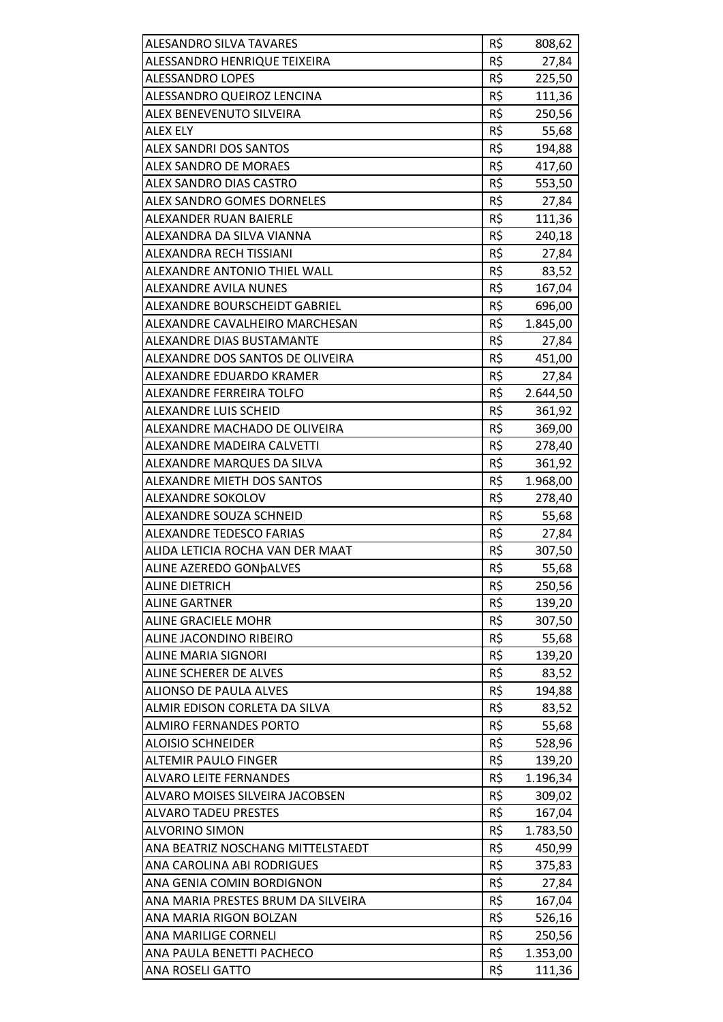| <b>ALESANDRO SILVA TAVARES</b>     | R\$ | 808,62   |
|------------------------------------|-----|----------|
| ALESSANDRO HENRIQUE TEIXEIRA       | R\$ | 27,84    |
| <b>ALESSANDRO LOPES</b>            | R\$ | 225,50   |
| ALESSANDRO QUEIROZ LENCINA         | R\$ | 111,36   |
| ALEX BENEVENUTO SILVEIRA           | R\$ | 250,56   |
| <b>ALEX ELY</b>                    | R\$ | 55,68    |
| <b>ALEX SANDRI DOS SANTOS</b>      | R\$ | 194,88   |
| <b>ALEX SANDRO DE MORAES</b>       | R\$ | 417,60   |
| ALEX SANDRO DIAS CASTRO            | R\$ | 553,50   |
| <b>ALEX SANDRO GOMES DORNELES</b>  | R\$ | 27,84    |
| ALEXANDER RUAN BAIERLE             | R\$ | 111,36   |
| ALEXANDRA DA SILVA VIANNA          | R\$ | 240,18   |
| ALEXANDRA RECH TISSIANI            | R\$ | 27,84    |
| ALEXANDRE ANTONIO THIEL WALL       | R\$ | 83,52    |
| <b>ALEXANDRE AVILA NUNES</b>       | R\$ | 167,04   |
| ALEXANDRE BOURSCHEIDT GABRIEL      | R\$ | 696,00   |
| ALEXANDRE CAVALHEIRO MARCHESAN     | R\$ | 1.845,00 |
| ALEXANDRE DIAS BUSTAMANTE          | R\$ | 27,84    |
| ALEXANDRE DOS SANTOS DE OLIVEIRA   | R\$ | 451,00   |
| ALEXANDRE EDUARDO KRAMER           | R\$ | 27,84    |
| ALEXANDRE FERREIRA TOLFO           | R\$ | 2.644,50 |
| <b>ALEXANDRE LUIS SCHEID</b>       | R\$ | 361,92   |
| ALEXANDRE MACHADO DE OLIVEIRA      | R\$ | 369,00   |
| ALEXANDRE MADEIRA CALVETTI         | R\$ | 278,40   |
| ALEXANDRE MARQUES DA SILVA         | R\$ | 361,92   |
| <b>ALEXANDRE MIETH DOS SANTOS</b>  | R\$ | 1.968,00 |
| ALEXANDRE SOKOLOV                  | R\$ | 278,40   |
| ALEXANDRE SOUZA SCHNEID            | R\$ | 55,68    |
| <b>ALEXANDRE TEDESCO FARIAS</b>    | R\$ | 27,84    |
| ALIDA LETICIA ROCHA VAN DER MAAT   | R\$ | 307,50   |
| ALINE AZEREDO GONDALVES            | R\$ | 55,68    |
| <b>ALINE DIETRICH</b>              | R\$ | 250,56   |
| <b>ALINE GARTNER</b>               | R\$ | 139,20   |
| <b>ALINE GRACIELE MOHR</b>         | R\$ | 307,50   |
| ALINE JACONDINO RIBEIRO            | R\$ | 55,68    |
| <b>ALINE MARIA SIGNORI</b>         | R\$ | 139,20   |
| ALINE SCHERER DE ALVES             | R\$ | 83,52    |
| <b>ALIONSO DE PAULA ALVES</b>      | R\$ | 194,88   |
| ALMIR EDISON CORLETA DA SILVA      | R\$ | 83,52    |
| <b>ALMIRO FERNANDES PORTO</b>      | R\$ | 55,68    |
| <b>ALOISIO SCHNEIDER</b>           | R\$ | 528,96   |
| <b>ALTEMIR PAULO FINGER</b>        | R\$ | 139,20   |
|                                    | R\$ |          |
| <b>ALVARO LEITE FERNANDES</b>      |     | 1.196,34 |
| ALVARO MOISES SILVEIRA JACOBSEN    | R\$ | 309,02   |
| <b>ALVARO TADEU PRESTES</b>        | R\$ | 167,04   |
| <b>ALVORINO SIMON</b>              | R\$ | 1.783,50 |
| ANA BEATRIZ NOSCHANG MITTELSTAEDT  | R\$ | 450,99   |
| ANA CAROLINA ABI RODRIGUES         | R\$ | 375,83   |
| ANA GENIA COMIN BORDIGNON          | R\$ | 27,84    |
| ANA MARIA PRESTES BRUM DA SILVEIRA | R\$ | 167,04   |
| ANA MARIA RIGON BOLZAN             | R\$ | 526,16   |
| ANA MARILIGE CORNELI               | R\$ | 250,56   |
| ANA PAULA BENETTI PACHECO          | R\$ | 1.353,00 |
| <b>ANA ROSELI GATTO</b>            | R\$ | 111,36   |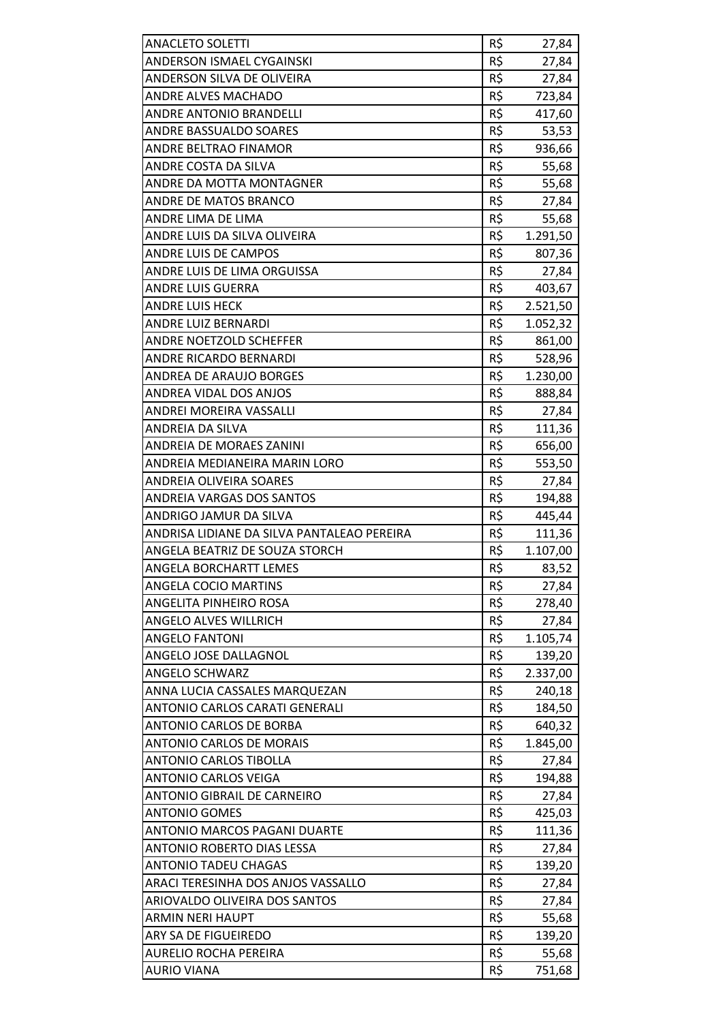| <b>ANACLETO SOLETTI</b>                    | R\$ | 27,84          |
|--------------------------------------------|-----|----------------|
| ANDERSON ISMAEL CYGAINSKI                  | R\$ | 27,84          |
| ANDERSON SILVA DE OLIVEIRA                 | R\$ | 27,84          |
| <b>ANDRE ALVES MACHADO</b>                 | R\$ | 723,84         |
| <b>ANDRE ANTONIO BRANDELLI</b>             | R\$ | 417,60         |
| <b>ANDRE BASSUALDO SOARES</b>              | R\$ | 53,53          |
| ANDRE BELTRAO FINAMOR                      | R\$ | 936,66         |
| ANDRE COSTA DA SILVA                       | R\$ | 55,68          |
| ANDRE DA MOTTA MONTAGNER                   | R\$ | 55,68          |
| <b>ANDRE DE MATOS BRANCO</b>               | R\$ | 27,84          |
| ANDRE LIMA DE LIMA                         | R\$ | 55,68          |
| ANDRE LUIS DA SILVA OLIVEIRA               | R\$ | 1.291,50       |
| <b>ANDRE LUIS DE CAMPOS</b>                | R\$ | 807,36         |
| ANDRE LUIS DE LIMA ORGUISSA                | R\$ | 27,84          |
| ANDRE LUIS GUERRA                          | R\$ | 403,67         |
| <b>ANDRE LUIS HECK</b>                     | R\$ | 2.521,50       |
| ANDRE LUIZ BERNARDI                        | R\$ | 1.052,32       |
| <b>ANDRE NOETZOLD SCHEFFER</b>             | R\$ | 861,00         |
| <b>ANDRE RICARDO BERNARDI</b>              | R\$ | 528,96         |
| <b>ANDREA DE ARAUJO BORGES</b>             | R\$ | 1.230,00       |
| ANDREA VIDAL DOS ANJOS                     | R\$ | 888,84         |
| ANDREI MOREIRA VASSALLI                    | R\$ | 27,84          |
| ANDREIA DA SILVA                           | R\$ | 111,36         |
| <b>ANDREIA DE MORAES ZANINI</b>            | R\$ | 656,00         |
| ANDREIA MEDIANEIRA MARIN LORO              | R\$ | 553,50         |
| <b>ANDREIA OLIVEIRA SOARES</b>             | R\$ | 27,84          |
| <b>ANDREIA VARGAS DOS SANTOS</b>           | R\$ | 194,88         |
| ANDRIGO JAMUR DA SILVA                     | R\$ | 445,44         |
| ANDRISA LIDIANE DA SILVA PANTALEAO PEREIRA | R\$ | 111,36         |
| ANGELA BEATRIZ DE SOUZA STORCH             | R\$ | 1.107,00       |
| <b>ANGELA BORCHARTT LEMES</b>              | R\$ | 83,52          |
| <b>ANGELA COCIO MARTINS</b>                | R\$ | 27,84          |
| ANGELITA PINHEIRO ROSA                     | R\$ | 278,40         |
| <b>ANGELO ALVES WILLRICH</b>               | R\$ | 27,84          |
| <b>ANGELO FANTONI</b>                      | R\$ | 1.105,74       |
| ANGELO JOSE DALLAGNOL                      | R\$ | 139,20         |
| <b>ANGELO SCHWARZ</b>                      | R\$ | 2.337,00       |
| ANNA LUCIA CASSALES MARQUEZAN              | R\$ | 240,18         |
| ANTONIO CARLOS CARATI GENERALI             | R\$ | 184,50         |
| ANTONIO CARLOS DE BORBA                    | R\$ | 640,32         |
| <b>ANTONIO CARLOS DE MORAIS</b>            | R\$ | 1.845,00       |
| <b>ANTONIO CARLOS TIBOLLA</b>              | R\$ | 27,84          |
| <b>ANTONIO CARLOS VEIGA</b>                | R\$ | 194,88         |
| ANTONIO GIBRAIL DE CARNEIRO                | R\$ | 27,84          |
| <b>ANTONIO GOMES</b>                       | R\$ | 425,03         |
| ANTONIO MARCOS PAGANI DUARTE               | R\$ | 111,36         |
| ANTONIO ROBERTO DIAS LESSA                 | R\$ | 27,84          |
| <b>ANTONIO TADEU CHAGAS</b>                | R\$ | 139,20         |
| ARACI TERESINHA DOS ANJOS VASSALLO         | R\$ | 27,84          |
| ARIOVALDO OLIVEIRA DOS SANTOS              | R\$ |                |
| <b>ARMIN NERI HAUPT</b>                    | R\$ | 27,84<br>55,68 |
| ARY SA DE FIGUEIREDO                       | R\$ |                |
| <b>AURELIO ROCHA PEREIRA</b>               | R\$ | 139,20         |
|                                            |     | 55,68          |
| <b>AURIO VIANA</b>                         | R\$ | 751,68         |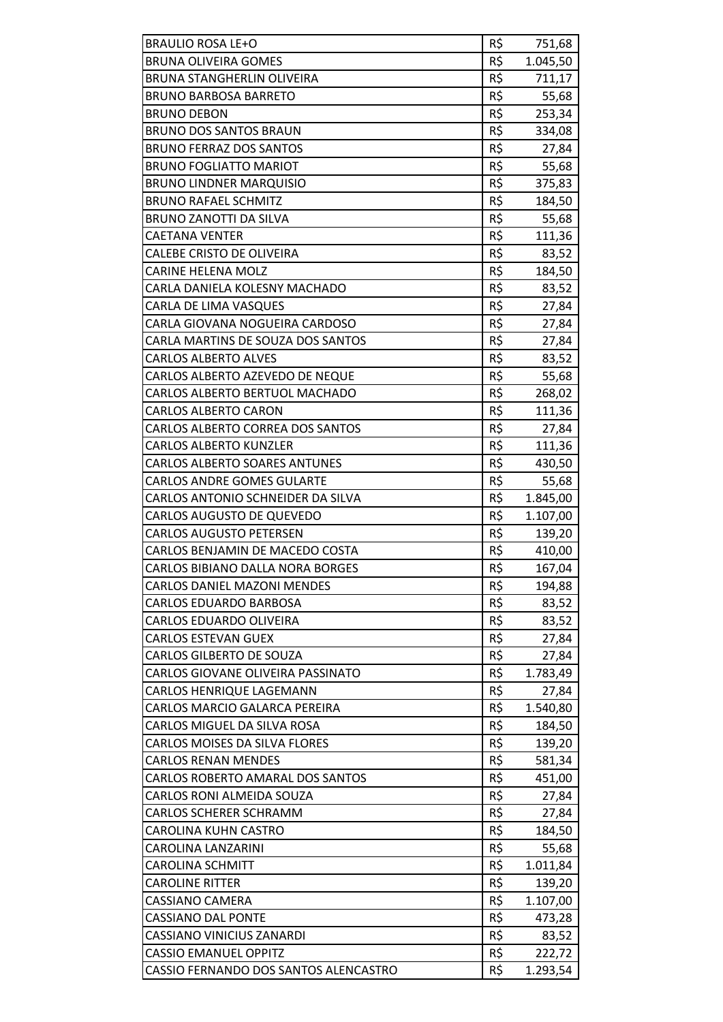| <b>BRAULIO ROSA LE+O</b>              | R\$ | 751,68   |
|---------------------------------------|-----|----------|
| <b>BRUNA OLIVEIRA GOMES</b>           | R\$ | 1.045,50 |
| BRUNA STANGHERLIN OLIVEIRA            | R\$ | 711,17   |
| <b>BRUNO BARBOSA BARRETO</b>          | R\$ | 55,68    |
| <b>BRUNO DEBON</b>                    | R\$ | 253,34   |
| <b>BRUNO DOS SANTOS BRAUN</b>         | R\$ | 334,08   |
| <b>BRUNO FERRAZ DOS SANTOS</b>        | R\$ | 27,84    |
| <b>BRUNO FOGLIATTO MARIOT</b>         | R\$ | 55,68    |
| <b>BRUNO LINDNER MARQUISIO</b>        | R\$ | 375,83   |
| <b>BRUNO RAFAEL SCHMITZ</b>           | R\$ | 184,50   |
| <b>BRUNO ZANOTTI DA SILVA</b>         | R\$ | 55,68    |
| <b>CAETANA VENTER</b>                 | R\$ | 111,36   |
| CALEBE CRISTO DE OLIVEIRA             | R\$ | 83,52    |
| <b>CARINE HELENA MOLZ</b>             | R\$ | 184,50   |
| CARLA DANIELA KOLESNY MACHADO         | R\$ | 83,52    |
| CARLA DE LIMA VASQUES                 | R\$ | 27,84    |
| CARLA GIOVANA NOGUEIRA CARDOSO        | R\$ | 27,84    |
| CARLA MARTINS DE SOUZA DOS SANTOS     | R\$ | 27,84    |
| <b>CARLOS ALBERTO ALVES</b>           | R\$ | 83,52    |
| CARLOS ALBERTO AZEVEDO DE NEQUE       | R\$ | 55,68    |
| CARLOS ALBERTO BERTUOL MACHADO        | R\$ | 268,02   |
| <b>CARLOS ALBERTO CARON</b>           | R\$ | 111,36   |
| CARLOS ALBERTO CORREA DOS SANTOS      | R\$ | 27,84    |
| <b>CARLOS ALBERTO KUNZLER</b>         | R\$ | 111,36   |
| <b>CARLOS ALBERTO SOARES ANTUNES</b>  | R\$ | 430,50   |
| <b>CARLOS ANDRE GOMES GULARTE</b>     | R\$ | 55,68    |
| CARLOS ANTONIO SCHNEIDER DA SILVA     | R\$ | 1.845,00 |
| CARLOS AUGUSTO DE QUEVEDO             | R\$ | 1.107,00 |
| <b>CARLOS AUGUSTO PETERSEN</b>        | R\$ | 139,20   |
| CARLOS BENJAMIN DE MACEDO COSTA       | R\$ | 410,00   |
| CARLOS BIBIANO DALLA NORA BORGES      | R\$ | 167,04   |
| <b>CARLOS DANIEL MAZONI MENDES</b>    | R\$ | 194,88   |
| <b>CARLOS EDUARDO BARBOSA</b>         | R\$ | 83,52    |
| CARLOS EDUARDO OLIVEIRA               | R\$ | 83,52    |
| <b>CARLOS ESTEVAN GUEX</b>            | R\$ | 27,84    |
| <b>CARLOS GILBERTO DE SOUZA</b>       | R\$ | 27,84    |
| CARLOS GIOVANE OLIVEIRA PASSINATO     | R\$ | 1.783,49 |
| CARLOS HENRIQUE LAGEMANN              | R\$ | 27,84    |
| <b>CARLOS MARCIO GALARCA PEREIRA</b>  | R\$ | 1.540,80 |
| CARLOS MIGUEL DA SILVA ROSA           | R\$ | 184,50   |
| <b>CARLOS MOISES DA SILVA FLORES</b>  | R\$ | 139,20   |
| <b>CARLOS RENAN MENDES</b>            | R\$ | 581,34   |
| CARLOS ROBERTO AMARAL DOS SANTOS      | R\$ | 451,00   |
| CARLOS RONI ALMEIDA SOUZA             | R\$ | 27,84    |
| <b>CARLOS SCHERER SCHRAMM</b>         | R\$ | 27,84    |
| CAROLINA KUHN CASTRO                  | R\$ | 184,50   |
| CAROLINA LANZARINI                    | R\$ | 55,68    |
| <b>CAROLINA SCHMITT</b>               | R\$ | 1.011,84 |
| <b>CAROLINE RITTER</b>                | R\$ | 139,20   |
| <b>CASSIANO CAMERA</b>                | R\$ | 1.107,00 |
| <b>CASSIANO DAL PONTE</b>             | R\$ | 473,28   |
| <b>CASSIANO VINICIUS ZANARDI</b>      | R\$ | 83,52    |
| <b>CASSIO EMANUEL OPPITZ</b>          | R\$ | 222,72   |
| CASSIO FERNANDO DOS SANTOS ALENCASTRO | R\$ | 1.293,54 |
|                                       |     |          |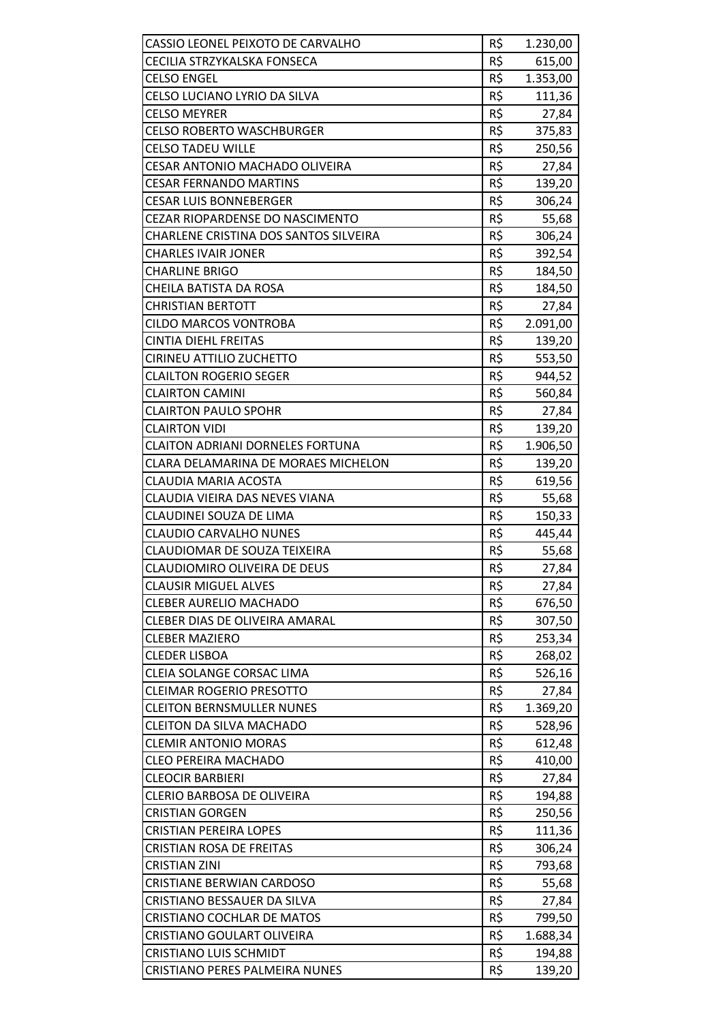| CASSIO LEONEL PEIXOTO DE CARVALHO       | R\$ | 1.230,00 |
|-----------------------------------------|-----|----------|
| CECILIA STRZYKALSKA FONSECA             | R\$ | 615,00   |
| <b>CELSO ENGEL</b>                      | R\$ | 1.353,00 |
| <b>CELSO LUCIANO LYRIO DA SILVA</b>     | R\$ | 111,36   |
| <b>CELSO MEYRER</b>                     | R\$ | 27,84    |
| <b>CELSO ROBERTO WASCHBURGER</b>        | R\$ | 375,83   |
| <b>CELSO TADEU WILLE</b>                | R\$ | 250,56   |
| CESAR ANTONIO MACHADO OLIVEIRA          | R\$ | 27,84    |
| <b>CESAR FERNANDO MARTINS</b>           | R\$ | 139,20   |
| <b>CESAR LUIS BONNEBERGER</b>           | R\$ | 306,24   |
| CEZAR RIOPARDENSE DO NASCIMENTO         | R\$ | 55,68    |
| CHARLENE CRISTINA DOS SANTOS SILVEIRA   | R\$ | 306,24   |
| <b>CHARLES IVAIR JONER</b>              | R\$ | 392,54   |
| <b>CHARLINE BRIGO</b>                   | R\$ | 184,50   |
| CHEILA BATISTA DA ROSA                  | R\$ | 184,50   |
| <b>CHRISTIAN BERTOTT</b>                | R\$ | 27,84    |
| <b>CILDO MARCOS VONTROBA</b>            | R\$ | 2.091,00 |
| <b>CINTIA DIEHL FREITAS</b>             | R\$ | 139,20   |
| <b>CIRINEU ATTILIO ZUCHETTO</b>         | R\$ | 553,50   |
| <b>CLAILTON ROGERIO SEGER</b>           | R\$ | 944,52   |
| <b>CLAIRTON CAMINI</b>                  | R\$ | 560,84   |
| <b>CLAIRTON PAULO SPOHR</b>             | R\$ | 27,84    |
| <b>CLAIRTON VIDI</b>                    | R\$ | 139,20   |
| <b>CLAITON ADRIANI DORNELES FORTUNA</b> | R\$ | 1.906,50 |
| CLARA DELAMARINA DE MORAES MICHELON     | R\$ | 139,20   |
| <b>CLAUDIA MARIA ACOSTA</b>             | R\$ | 619,56   |
| CLAUDIA VIEIRA DAS NEVES VIANA          | R\$ | 55,68    |
| CLAUDINEI SOUZA DE LIMA                 | R\$ | 150,33   |
| <b>CLAUDIO CARVALHO NUNES</b>           | R\$ | 445,44   |
| CLAUDIOMAR DE SOUZA TEIXEIRA            | R\$ | 55,68    |
| CLAUDIOMIRO OLIVEIRA DE DEUS            | R\$ | 27,84    |
| <b>CLAUSIR MIGUEL ALVES</b>             | R\$ | 27,84    |
| <b>CLEBER AURELIO MACHADO</b>           | R\$ | 676,50   |
| CLEBER DIAS DE OLIVEIRA AMARAL          | R\$ | 307,50   |
| <b>CLEBER MAZIERO</b>                   | R\$ | 253,34   |
| <b>CLEDER LISBOA</b>                    | R\$ | 268,02   |
| CLEIA SOLANGE CORSAC LIMA               | R\$ | 526,16   |
| <b>CLEIMAR ROGERIO PRESOTTO</b>         | R\$ | 27,84    |
| <b>CLEITON BERNSMULLER NUNES</b>        | R\$ | 1.369,20 |
| <b>CLEITON DA SILVA MACHADO</b>         | R\$ | 528,96   |
| <b>CLEMIR ANTONIO MORAS</b>             | R\$ | 612,48   |
| <b>CLEO PEREIRA MACHADO</b>             | R\$ | 410,00   |
| <b>CLEOCIR BARBIERI</b>                 | R\$ | 27,84    |
| <b>CLERIO BARBOSA DE OLIVEIRA</b>       | R\$ | 194,88   |
| <b>CRISTIAN GORGEN</b>                  | R\$ | 250,56   |
| <b>CRISTIAN PEREIRA LOPES</b>           | R\$ | 111,36   |
| <b>CRISTIAN ROSA DE FREITAS</b>         | R\$ | 306,24   |
| <b>CRISTIAN ZINI</b>                    | R\$ | 793,68   |
| <b>CRISTIANE BERWIAN CARDOSO</b>        | R\$ | 55,68    |
| CRISTIANO BESSAUER DA SILVA             | R\$ | 27,84    |
| <b>CRISTIANO COCHLAR DE MATOS</b>       | R\$ | 799,50   |
| <b>CRISTIANO GOULART OLIVEIRA</b>       | R\$ | 1.688,34 |
| <b>CRISTIANO LUIS SCHMIDT</b>           | R\$ | 194,88   |
| CRISTIANO PERES PALMEIRA NUNES          | R\$ | 139,20   |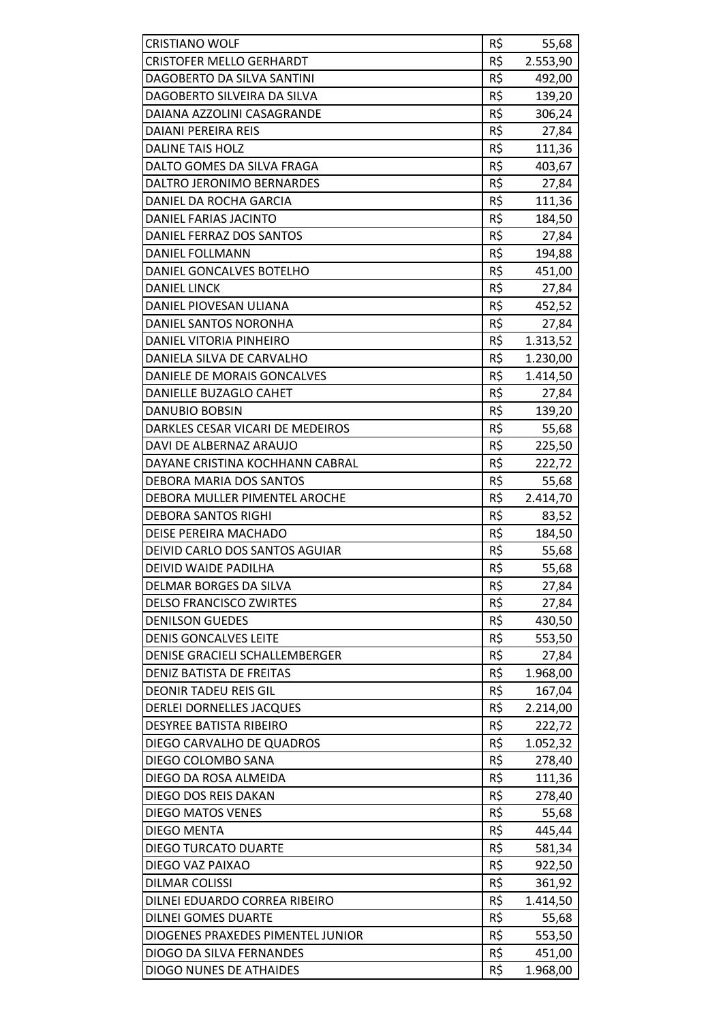| <b>CRISTIANO WOLF</b>             | R\$ | 55,68    |
|-----------------------------------|-----|----------|
| <b>CRISTOFER MELLO GERHARDT</b>   | R\$ | 2.553,90 |
| DAGOBERTO DA SILVA SANTINI        | R\$ | 492,00   |
| DAGOBERTO SILVEIRA DA SILVA       | R\$ | 139,20   |
| DAIANA AZZOLINI CASAGRANDE        | R\$ | 306,24   |
| <b>DAIANI PEREIRA REIS</b>        | R\$ | 27,84    |
| <b>DALINE TAIS HOLZ</b>           | R\$ | 111,36   |
| DALTO GOMES DA SILVA FRAGA        | R\$ |          |
|                                   | R\$ | 403,67   |
| DALTRO JERONIMO BERNARDES         |     | 27,84    |
| DANIEL DA ROCHA GARCIA            | R\$ | 111,36   |
| DANIEL FARIAS JACINTO             | R\$ | 184,50   |
| DANIEL FERRAZ DOS SANTOS          | R\$ | 27,84    |
| DANIEL FOLLMANN                   | R\$ | 194,88   |
| DANIEL GONCALVES BOTELHO          | R\$ | 451,00   |
| <b>DANIEL LINCK</b>               | R\$ | 27,84    |
| DANIEL PIOVESAN ULIANA            | R\$ | 452,52   |
| DANIEL SANTOS NORONHA             | R\$ | 27,84    |
| DANIEL VITORIA PINHEIRO           | R\$ | 1.313,52 |
| DANIELA SILVA DE CARVALHO         | R\$ | 1.230,00 |
| DANIELE DE MORAIS GONCALVES       | R\$ | 1.414,50 |
| DANIELLE BUZAGLO CAHET            | R\$ | 27,84    |
| <b>DANUBIO BOBSIN</b>             | R\$ | 139,20   |
| DARKLES CESAR VICARI DE MEDEIROS  | R\$ | 55,68    |
| DAVI DE ALBERNAZ ARAUJO           | R\$ | 225,50   |
| DAYANE CRISTINA KOCHHANN CABRAL   | R\$ | 222,72   |
| DEBORA MARIA DOS SANTOS           | R\$ | 55,68    |
| DEBORA MULLER PIMENTEL AROCHE     | R\$ | 2.414,70 |
| <b>DEBORA SANTOS RIGHI</b>        | R\$ | 83,52    |
| DEISE PEREIRA MACHADO             | R\$ | 184,50   |
| DEIVID CARLO DOS SANTOS AGUIAR    | R\$ | 55,68    |
| DEIVID WAIDE PADILHA              | R\$ | 55,68    |
| DELMAR BORGES DA SILVA            | R\$ | 27,84    |
| <b>DELSO FRANCISCO ZWIRTES</b>    | R\$ | 27,84    |
| <b>DENILSON GUEDES</b>            | R\$ | 430,50   |
| <b>DENIS GONCALVES LEITE</b>      | R\$ | 553,50   |
| DENISE GRACIELI SCHALLEMBERGER    | R\$ | 27,84    |
| DENIZ BATISTA DE FREITAS          | R\$ | 1.968,00 |
| <b>DEONIR TADEU REIS GIL</b>      | R\$ | 167,04   |
| <b>DERLEI DORNELLES JACQUES</b>   | R\$ | 2.214,00 |
| <b>DESYREE BATISTA RIBEIRO</b>    | R\$ | 222,72   |
| DIEGO CARVALHO DE QUADROS         | R\$ | 1.052,32 |
| DIEGO COLOMBO SANA                | R\$ | 278,40   |
| DIEGO DA ROSA ALMEIDA             | R\$ | 111,36   |
| DIEGO DOS REIS DAKAN              | R\$ | 278,40   |
| <b>DIEGO MATOS VENES</b>          | R\$ | 55,68    |
| <b>DIEGO MENTA</b>                | R\$ | 445,44   |
| <b>DIEGO TURCATO DUARTE</b>       | R\$ | 581,34   |
| DIEGO VAZ PAIXAO                  | R\$ | 922,50   |
|                                   | R\$ | 361,92   |
| DILMAR COLISSI                    |     |          |
| DILNEI EDUARDO CORREA RIBEIRO     | R\$ | 1.414,50 |
| DILNEI GOMES DUARTE               | R\$ | 55,68    |
| DIOGENES PRAXEDES PIMENTEL JUNIOR | R\$ | 553,50   |
| DIOGO DA SILVA FERNANDES          | R\$ | 451,00   |
| DIOGO NUNES DE ATHAIDES           | R\$ | 1.968,00 |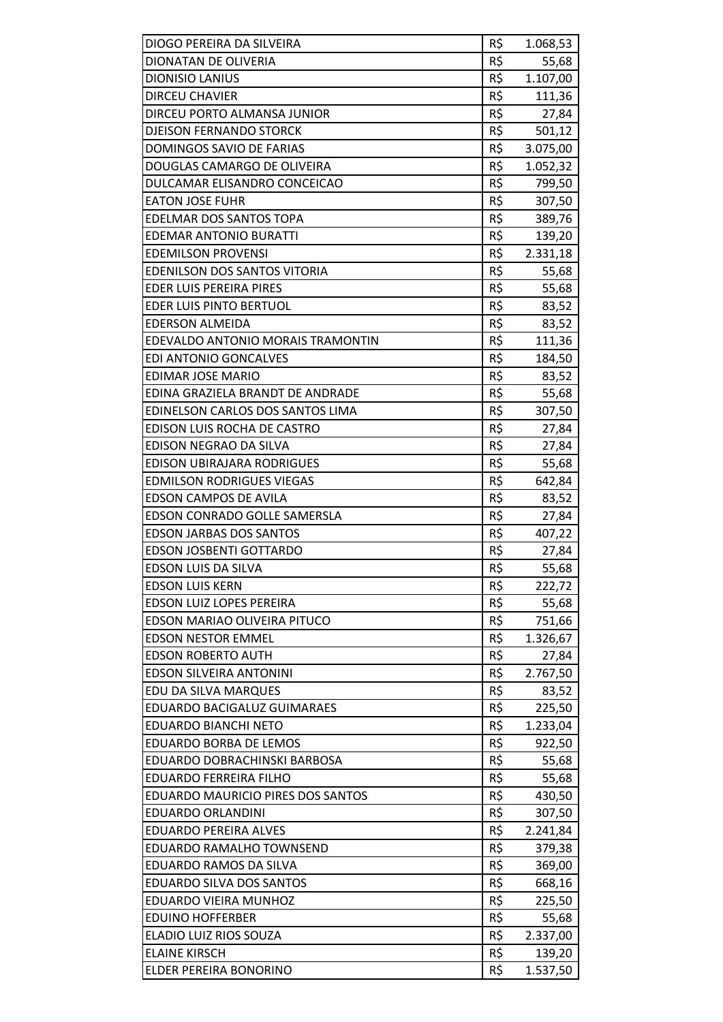| DIOGO PEREIRA DA SILVEIRA         | R\$ | 1.068,53 |
|-----------------------------------|-----|----------|
| DIONATAN DE OLIVERIA              | R\$ | 55,68    |
| <b>DIONISIO LANIUS</b>            | R\$ | 1.107,00 |
| <b>DIRCEU CHAVIER</b>             | R\$ | 111,36   |
| DIRCEU PORTO ALMANSA JUNIOR       | R\$ | 27,84    |
| <b>DJEISON FERNANDO STORCK</b>    | R\$ | 501,12   |
| DOMINGOS SAVIO DE FARIAS          | R\$ | 3.075,00 |
| DOUGLAS CAMARGO DE OLIVEIRA       | R\$ | 1.052,32 |
| DULCAMAR ELISANDRO CONCEICAO      | R\$ | 799,50   |
| <b>EATON JOSE FUHR</b>            | R\$ | 307,50   |
| EDELMAR DOS SANTOS TOPA           | R\$ | 389,76   |
| <b>EDEMAR ANTONIO BURATTI</b>     | R\$ | 139,20   |
| <b>EDEMILSON PROVENSI</b>         | R\$ | 2.331,18 |
| EDENILSON DOS SANTOS VITORIA      | R\$ | 55,68    |
| EDER LUIS PEREIRA PIRES           | R\$ |          |
| <b>EDER LUIS PINTO BERTUOL</b>    | R\$ | 55,68    |
| <b>EDERSON ALMEIDA</b>            | R\$ | 83,52    |
|                                   |     | 83,52    |
| EDEVALDO ANTONIO MORAIS TRAMONTIN | R\$ | 111,36   |
| <b>EDI ANTONIO GONCALVES</b>      | R\$ | 184,50   |
| EDIMAR JOSE MARIO                 | R\$ | 83,52    |
| EDINA GRAZIELA BRANDT DE ANDRADE  | R\$ | 55,68    |
| EDINELSON CARLOS DOS SANTOS LIMA  | R\$ | 307,50   |
| EDISON LUIS ROCHA DE CASTRO       | R\$ | 27,84    |
| EDISON NEGRAO DA SILVA            | R\$ | 27,84    |
| EDISON UBIRAJARA RODRIGUES        | R\$ | 55,68    |
| <b>EDMILSON RODRIGUES VIEGAS</b>  | R\$ | 642,84   |
| <b>EDSON CAMPOS DE AVILA</b>      | R\$ | 83,52    |
| EDSON CONRADO GOLLE SAMERSLA      | R\$ | 27,84    |
| <b>EDSON JARBAS DOS SANTOS</b>    | R\$ | 407,22   |
| <b>EDSON JOSBENTI GOTTARDO</b>    | R\$ | 27,84    |
| EDSON LUIS DA SILVA               | R\$ | 55,68    |
| <b>EDSON LUIS KERN</b>            | R\$ | 222,72   |
| <b>EDSON LUIZ LOPES PEREIRA</b>   | R\$ | 55,68    |
| EDSON MARIAO OLIVEIRA PITUCO      | R\$ | 751,66   |
| <b>EDSON NESTOR EMMEL</b>         | R\$ | 1.326,67 |
| <b>EDSON ROBERTO AUTH</b>         | R\$ | 27,84    |
| <b>EDSON SILVEIRA ANTONINI</b>    | R\$ | 2.767,50 |
| EDU DA SILVA MARQUES              | R\$ | 83,52    |
| EDUARDO BACIGALUZ GUIMARAES       | R\$ | 225,50   |
| <b>EDUARDO BIANCHI NETO</b>       | R\$ | 1.233,04 |
| <b>EDUARDO BORBA DE LEMOS</b>     | R\$ | 922,50   |
| EDUARDO DOBRACHINSKI BARBOSA      | R\$ | 55,68    |
| <b>EDUARDO FERREIRA FILHO</b>     | R\$ | 55,68    |
| EDUARDO MAURICIO PIRES DOS SANTOS | R\$ | 430,50   |
| EDUARDO ORLANDINI                 | R\$ | 307,50   |
| <b>EDUARDO PEREIRA ALVES</b>      | R\$ | 2.241,84 |
| EDUARDO RAMALHO TOWNSEND          | R\$ | 379,38   |
| EDUARDO RAMOS DA SILVA            | R\$ | 369,00   |
| EDUARDO SILVA DOS SANTOS          | R\$ | 668,16   |
| EDUARDO VIEIRA MUNHOZ             | R\$ | 225,50   |
| <b>EDUINO HOFFERBER</b>           | R\$ | 55,68    |
| ELADIO LUIZ RIOS SOUZA            | R\$ | 2.337,00 |
| <b>ELAINE KIRSCH</b>              | R\$ | 139,20   |
| ELDER PEREIRA BONORINO            | R\$ | 1.537,50 |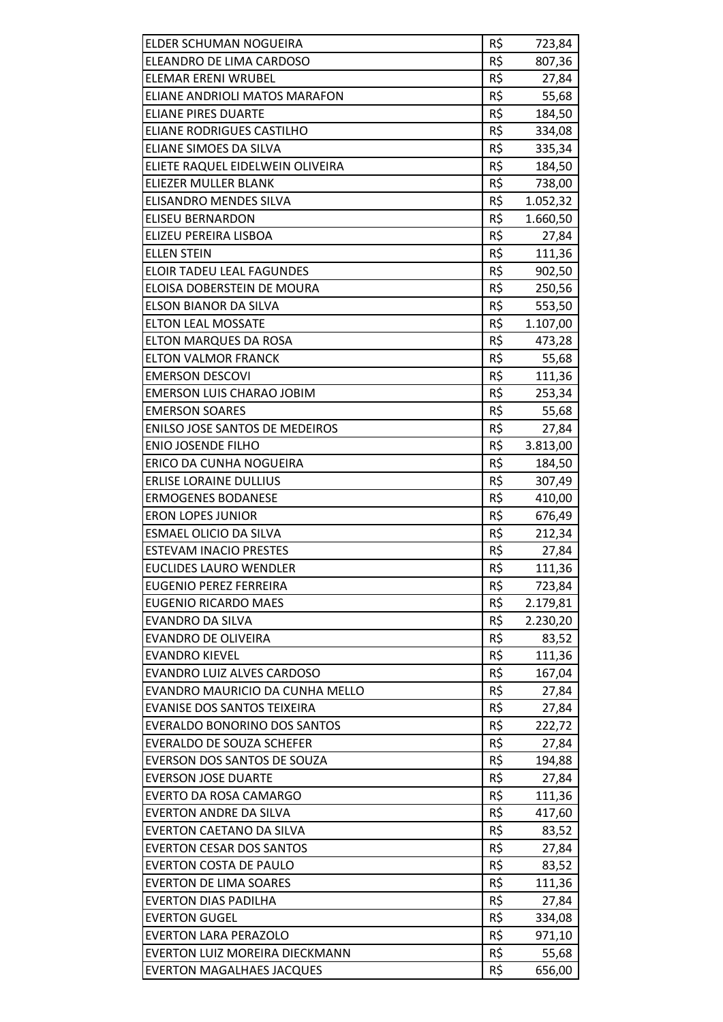| ELDER SCHUMAN NOGUEIRA                              | R\$        | 723,84   |
|-----------------------------------------------------|------------|----------|
| ELEANDRO DE LIMA CARDOSO                            | R\$        | 807,36   |
| <b>ELEMAR ERENI WRUBEL</b>                          | R\$        | 27,84    |
| ELIANE ANDRIOLI MATOS MARAFON                       | R\$        | 55,68    |
| <b>ELIANE PIRES DUARTE</b>                          | R\$        | 184,50   |
| ELIANE RODRIGUES CASTILHO                           | R\$        | 334,08   |
| ELIANE SIMOES DA SILVA                              | R\$        | 335,34   |
| ELIETE RAQUEL EIDELWEIN OLIVEIRA                    | R\$        | 184,50   |
| ELIEZER MULLER BLANK                                | R\$        | 738,00   |
| ELISANDRO MENDES SILVA                              | R\$        | 1.052,32 |
| <b>ELISEU BERNARDON</b>                             | R\$        | 1.660,50 |
| ELIZEU PEREIRA LISBOA                               | R\$        | 27,84    |
| <b>ELLEN STEIN</b>                                  | R\$        | 111,36   |
| <b>ELOIR TADEU LEAL FAGUNDES</b>                    | R\$        | 902,50   |
| ELOISA DOBERSTEIN DE MOURA                          | R\$        | 250,56   |
| ELSON BIANOR DA SILVA                               | R\$        | 553,50   |
| <b>ELTON LEAL MOSSATE</b>                           | R\$        | 1.107,00 |
| <b>ELTON MARQUES DA ROSA</b>                        | R\$        | 473,28   |
| <b>ELTON VALMOR FRANCK</b>                          | R\$        | 55,68    |
| <b>EMERSON DESCOVI</b>                              | R\$        | 111,36   |
| <b>EMERSON LUIS CHARAO JOBIM</b>                    | R\$        | 253,34   |
| <b>EMERSON SOARES</b>                               | R\$        | 55,68    |
| <b>ENILSO JOSE SANTOS DE MEDEIROS</b>               | R\$        | 27,84    |
| <b>ENIO JOSENDE FILHO</b>                           | R\$        | 3.813,00 |
| ERICO DA CUNHA NOGUEIRA                             | R\$        | 184,50   |
| <b>ERLISE LORAINE DULLIUS</b>                       | R\$        | 307,49   |
| <b>ERMOGENES BODANESE</b>                           | R\$        | 410,00   |
| <b>ERON LOPES JUNIOR</b>                            | R\$        | 676,49   |
| <b>ESMAEL OLICIO DA SILVA</b>                       | R\$        | 212,34   |
| <b>ESTEVAM INACIO PRESTES</b>                       | R\$        | 27,84    |
| <b>EUCLIDES LAURO WENDLER</b>                       | R\$        | 111,36   |
| <b>EUGENIO PEREZ FERREIRA</b>                       | R\$        | 723,84   |
| <b>EUGENIO RICARDO MAES</b>                         | R\$        | 2.179,81 |
| <b>EVANDRO DA SILVA</b>                             | R\$        | 2.230,20 |
| <b>EVANDRO DE OLIVEIRA</b>                          | R\$        | 83,52    |
| <b>EVANDRO KIEVEL</b>                               | R\$        | 111,36   |
| EVANDRO LUIZ ALVES CARDOSO                          | R\$        | 167,04   |
| EVANDRO MAURICIO DA CUNHA MELLO                     | R\$        | 27,84    |
| EVANISE DOS SANTOS TEIXEIRA                         | R\$        | 27,84    |
| EVERALDO BONORINO DOS SANTOS                        | R\$        | 222,72   |
| <b>EVERALDO DE SOUZA SCHEFER</b>                    | R\$        | 27,84    |
| EVERSON DOS SANTOS DE SOUZA                         | R\$        | 194,88   |
| <b>EVERSON JOSE DUARTE</b>                          | R\$        | 27,84    |
| EVERTO DA ROSA CAMARGO                              | R\$        | 111,36   |
| <b>EVERTON ANDRE DA SILVA</b>                       | R\$        | 417,60   |
| EVERTON CAETANO DA SILVA                            | R\$        | 83,52    |
| <b>EVERTON CESAR DOS SANTOS</b>                     | R\$        | 27,84    |
| <b>EVERTON COSTA DE PAULO</b>                       | R\$        |          |
|                                                     |            | 83,52    |
| <b>EVERTON DE LIMA SOARES</b>                       | R\$        | 111,36   |
| <b>EVERTON DIAS PADILHA</b><br><b>EVERTON GUGEL</b> | R\$<br>R\$ | 27,84    |
|                                                     |            | 334,08   |
| <b>EVERTON LARA PERAZOLO</b>                        | R\$        | 971,10   |
| EVERTON LUIZ MOREIRA DIECKMANN                      | R\$        | 55,68    |
| <b>EVERTON MAGALHAES JACQUES</b>                    | R\$        | 656,00   |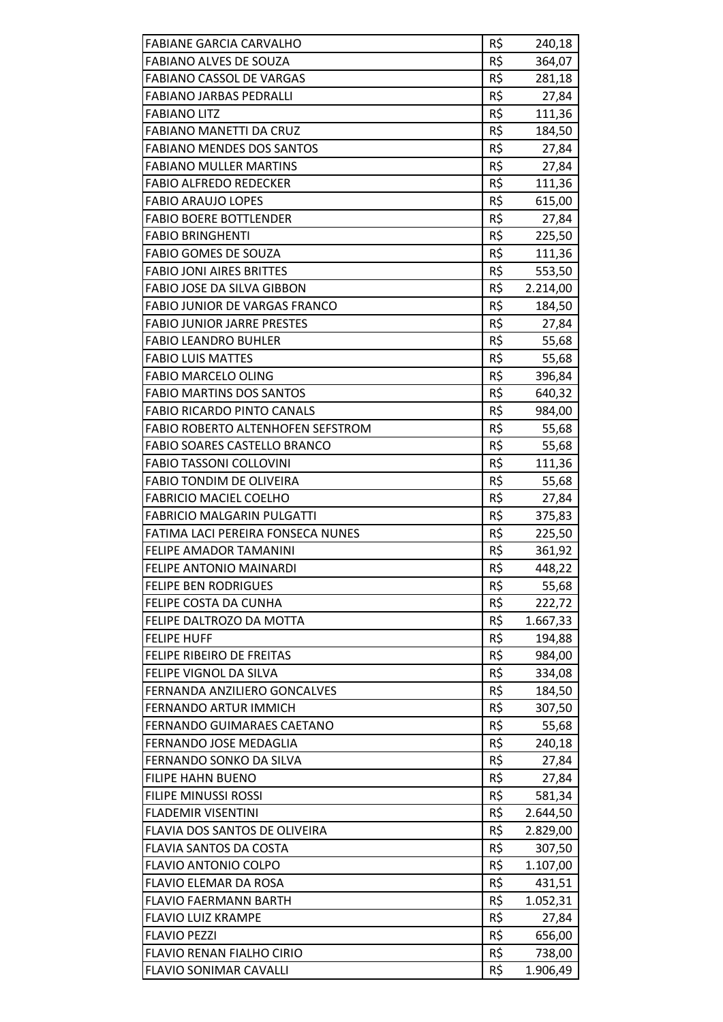| <b>FABIANE GARCIA CARVALHO</b>           | R\$ | 240,18   |
|------------------------------------------|-----|----------|
| <b>FABIANO ALVES DE SOUZA</b>            | R\$ | 364,07   |
| <b>FABIANO CASSOL DE VARGAS</b>          | R\$ | 281,18   |
| <b>FABIANO JARBAS PEDRALLI</b>           | R\$ | 27,84    |
| <b>FABIANO LITZ</b>                      | R\$ | 111,36   |
| <b>FABIANO MANETTI DA CRUZ</b>           | R\$ | 184,50   |
| <b>FABIANO MENDES DOS SANTOS</b>         | R\$ | 27,84    |
| <b>FABIANO MULLER MARTINS</b>            | R\$ | 27,84    |
| <b>FABIO ALFREDO REDECKER</b>            | R\$ | 111,36   |
| <b>FABIO ARAUJO LOPES</b>                | R\$ | 615,00   |
| <b>FABIO BOERE BOTTLENDER</b>            | R\$ | 27,84    |
| <b>FABIO BRINGHENTI</b>                  | R\$ | 225,50   |
| <b>FABIO GOMES DE SOUZA</b>              | R\$ | 111,36   |
| <b>FABIO JONI AIRES BRITTES</b>          | R\$ | 553,50   |
| <b>FABIO JOSE DA SILVA GIBBON</b>        | R\$ | 2.214,00 |
| FABIO JUNIOR DE VARGAS FRANCO            | R\$ | 184,50   |
| <b>FABIO JUNIOR JARRE PRESTES</b>        | R\$ | 27,84    |
| <b>FABIO LEANDRO BUHLER</b>              | R\$ | 55,68    |
| <b>FABIO LUIS MATTES</b>                 | R\$ | 55,68    |
| <b>FABIO MARCELO OLING</b>               | R\$ | 396,84   |
| <b>FABIO MARTINS DOS SANTOS</b>          | R\$ | 640,32   |
| <b>FABIO RICARDO PINTO CANALS</b>        | R\$ | 984,00   |
| <b>FABIO ROBERTO ALTENHOFEN SEFSTROM</b> | R\$ | 55,68    |
| <b>FABIO SOARES CASTELLO BRANCO</b>      | R\$ | 55,68    |
| <b>FABIO TASSONI COLLOVINI</b>           | R\$ | 111,36   |
| <b>FABIO TONDIM DE OLIVEIRA</b>          | R\$ | 55,68    |
| <b>FABRICIO MACIEL COELHO</b>            | R\$ | 27,84    |
| <b>FABRICIO MALGARIN PULGATTI</b>        | R\$ | 375,83   |
| FATIMA LACI PEREIRA FONSECA NUNES        | R\$ | 225,50   |
| <b>FELIPE AMADOR TAMANINI</b>            | R\$ | 361,92   |
| <b>FELIPE ANTONIO MAINARDI</b>           | R\$ | 448,22   |
| <b>FELIPE BEN RODRIGUES</b>              | R\$ | 55,68    |
| FELIPE COSTA DA CUNHA                    | R\$ | 222,72   |
| FELIPE DALTROZO DA MOTTA                 | R\$ | 1.667,33 |
| <b>FELIPE HUFF</b>                       | R\$ | 194,88   |
| <b>FELIPE RIBEIRO DE FREITAS</b>         | R\$ | 984,00   |
| FELIPE VIGNOL DA SILVA                   | R\$ | 334,08   |
| FERNANDA ANZILIERO GONCALVES             | R\$ | 184,50   |
| <b>FERNANDO ARTUR IMMICH</b>             | R\$ | 307,50   |
| FERNANDO GUIMARAES CAETANO               | R\$ | 55,68    |
| FERNANDO JOSE MEDAGLIA                   | R\$ | 240,18   |
| FERNANDO SONKO DA SILVA                  | R\$ | 27,84    |
| <b>FILIPE HAHN BUENO</b>                 | R\$ | 27,84    |
| FILIPE MINUSSI ROSSI                     | R\$ | 581,34   |
| <b>FLADEMIR VISENTINI</b>                | R\$ | 2.644,50 |
| FLAVIA DOS SANTOS DE OLIVEIRA            | R\$ | 2.829,00 |
| FLAVIA SANTOS DA COSTA                   | R\$ | 307,50   |
| <b>FLAVIO ANTONIO COLPO</b>              | R\$ | 1.107,00 |
| FLAVIO ELEMAR DA ROSA                    | R\$ | 431,51   |
| <b>FLAVIO FAERMANN BARTH</b>             | R\$ | 1.052,31 |
| <b>FLAVIO LUIZ KRAMPE</b>                | R\$ | 27,84    |
| <b>FLAVIO PEZZI</b>                      | R\$ | 656,00   |
| FLAVIO RENAN FIALHO CIRIO                | R\$ | 738,00   |
| <b>FLAVIO SONIMAR CAVALLI</b>            | R\$ | 1.906,49 |
|                                          |     |          |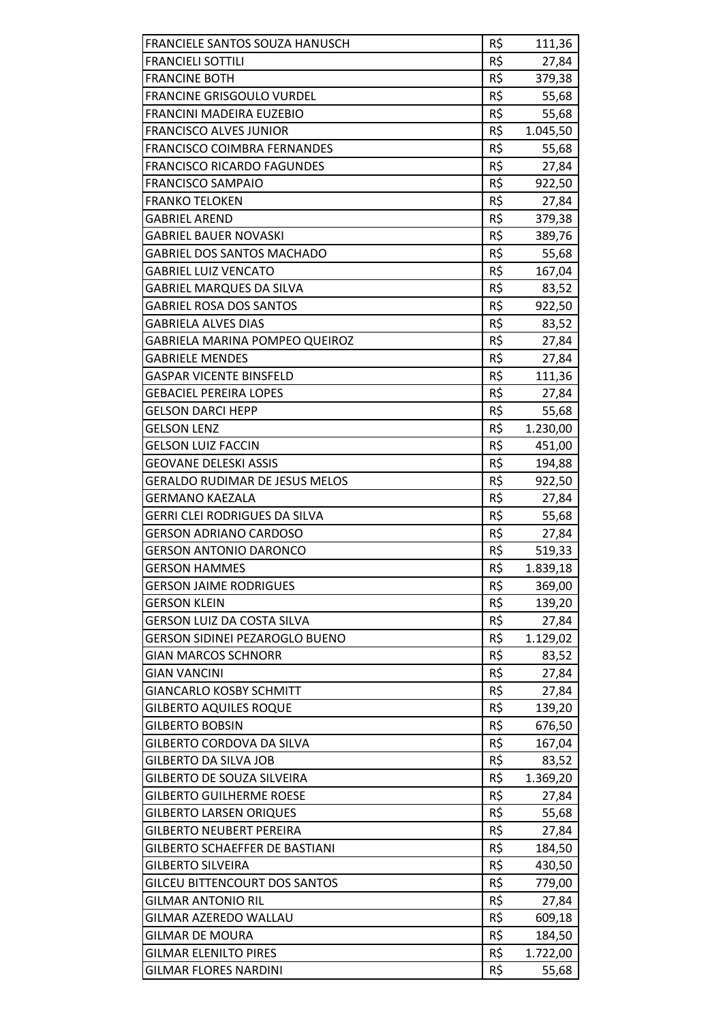| FRANCIELE SANTOS SOUZA HANUSCH        | R\$ | 111,36   |
|---------------------------------------|-----|----------|
| <b>FRANCIELI SOTTILI</b>              | R\$ | 27,84    |
| <b>FRANCINE BOTH</b>                  | R\$ | 379,38   |
| <b>FRANCINE GRISGOULO VURDEL</b>      | R\$ | 55,68    |
| FRANCINI MADEIRA EUZEBIO              | R\$ | 55,68    |
| <b>FRANCISCO ALVES JUNIOR</b>         | R\$ | 1.045,50 |
| FRANCISCO COIMBRA FERNANDES           | R\$ | 55,68    |
| <b>FRANCISCO RICARDO FAGUNDES</b>     | R\$ | 27,84    |
| <b>FRANCISCO SAMPAIO</b>              | R\$ | 922,50   |
| <b>FRANKO TELOKEN</b>                 | R\$ | 27,84    |
| <b>GABRIEL AREND</b>                  | R\$ | 379,38   |
| <b>GABRIEL BAUER NOVASKI</b>          | R\$ | 389,76   |
| <b>GABRIEL DOS SANTOS MACHADO</b>     | R\$ | 55,68    |
| <b>GABRIEL LUIZ VENCATO</b>           | R\$ | 167,04   |
| <b>GABRIEL MARQUES DA SILVA</b>       | R\$ | 83,52    |
| <b>GABRIEL ROSA DOS SANTOS</b>        | R\$ | 922,50   |
| <b>GABRIELA ALVES DIAS</b>            | R\$ | 83,52    |
| <b>GABRIELA MARINA POMPEO QUEIROZ</b> | R\$ | 27,84    |
| <b>GABRIELE MENDES</b>                | R\$ | 27,84    |
| <b>GASPAR VICENTE BINSFELD</b>        | R\$ | 111,36   |
| <b>GEBACIEL PEREIRA LOPES</b>         | R\$ | 27,84    |
| <b>GELSON DARCI HEPP</b>              | R\$ | 55,68    |
| <b>GELSON LENZ</b>                    | R\$ | 1.230,00 |
| <b>GELSON LUIZ FACCIN</b>             | R\$ | 451,00   |
| <b>GEOVANE DELESKI ASSIS</b>          | R\$ | 194,88   |
| <b>GERALDO RUDIMAR DE JESUS MELOS</b> | R\$ | 922,50   |
| <b>GERMANO KAEZALA</b>                | R\$ | 27,84    |
| <b>GERRI CLEI RODRIGUES DA SILVA</b>  | R\$ | 55,68    |
| <b>GERSON ADRIANO CARDOSO</b>         | R\$ | 27,84    |
| <b>GERSON ANTONIO DARONCO</b>         | R\$ | 519,33   |
| <b>GERSON HAMMES</b>                  | R\$ | 1.839,18 |
| <b>GERSON JAIME RODRIGUES</b>         | R\$ | 369,00   |
| <b>GERSON KLEIN</b>                   | R\$ | 139,20   |
| <b>GERSON LUIZ DA COSTA SILVA</b>     | R\$ | 27,84    |
| <b>GERSON SIDINEI PEZAROGLO BUENO</b> | R\$ | 1.129,02 |
| <b>GIAN MARCOS SCHNORR</b>            | R\$ | 83,52    |
| <b>GIAN VANCINI</b>                   | R\$ | 27,84    |
| <b>GIANCARLO KOSBY SCHMITT</b>        | R\$ | 27,84    |
| <b>GILBERTO AQUILES ROQUE</b>         | R\$ | 139,20   |
| <b>GILBERTO BOBSIN</b>                | R\$ | 676,50   |
| GILBERTO CORDOVA DA SILVA             | R\$ | 167,04   |
| <b>GILBERTO DA SILVA JOB</b>          | R\$ | 83,52    |
| <b>GILBERTO DE SOUZA SILVEIRA</b>     | R\$ | 1.369,20 |
| <b>GILBERTO GUILHERME ROESE</b>       | R\$ | 27,84    |
| <b>GILBERTO LARSEN ORIQUES</b>        | R\$ | 55,68    |
| <b>GILBERTO NEUBERT PEREIRA</b>       | R\$ | 27,84    |
| <b>GILBERTO SCHAEFFER DE BASTIANI</b> | R\$ | 184,50   |
| <b>GILBERTO SILVEIRA</b>              | R\$ | 430,50   |
| <b>GILCEU BITTENCOURT DOS SANTOS</b>  | R\$ | 779,00   |
| <b>GILMAR ANTONIO RIL</b>             | R\$ | 27,84    |
| GILMAR AZEREDO WALLAU                 | R\$ | 609,18   |
| <b>GILMAR DE MOURA</b>                | R\$ | 184,50   |
| <b>GILMAR ELENILTO PIRES</b>          | R\$ | 1.722,00 |
| <b>GILMAR FLORES NARDINI</b>          | R\$ | 55,68    |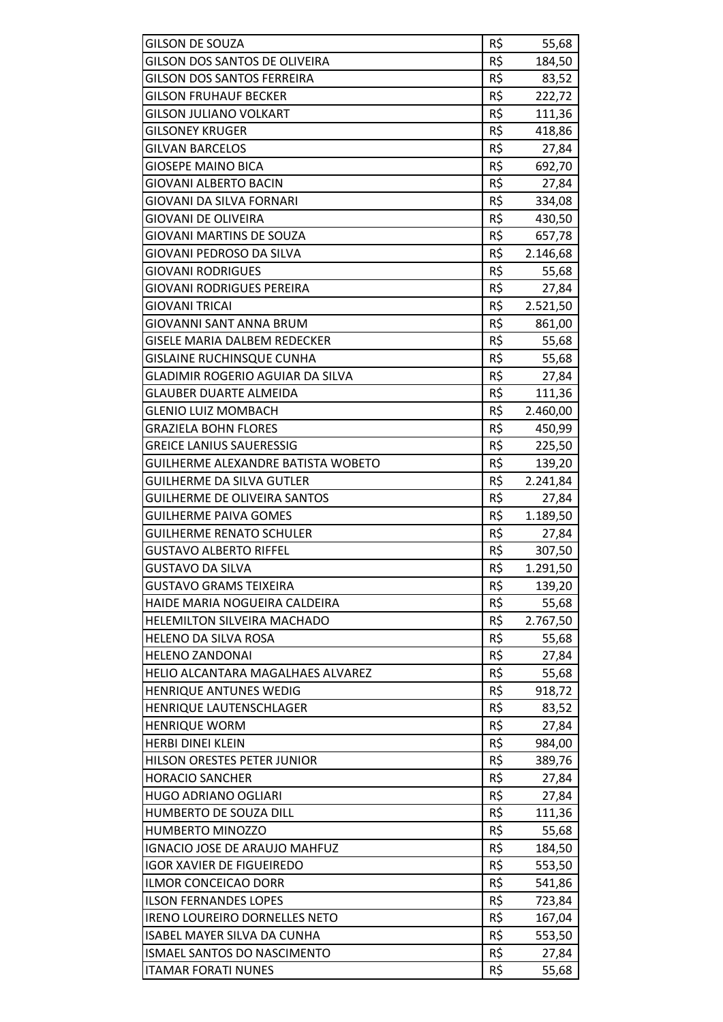| <b>GILSON DE SOUZA</b>                  | R\$ | 55,68    |
|-----------------------------------------|-----|----------|
| <b>GILSON DOS SANTOS DE OLIVEIRA</b>    | R\$ | 184,50   |
| <b>GILSON DOS SANTOS FERREIRA</b>       | R\$ | 83,52    |
| <b>GILSON FRUHAUF BECKER</b>            | R\$ | 222,72   |
| <b>GILSON JULIANO VOLKART</b>           | R\$ | 111,36   |
| <b>GILSONEY KRUGER</b>                  | R\$ | 418,86   |
| <b>GILVAN BARCELOS</b>                  | R\$ | 27,84    |
| <b>GIOSEPE MAINO BICA</b>               | R\$ | 692,70   |
| <b>GIOVANI ALBERTO BACIN</b>            | R\$ | 27,84    |
| <b>GIOVANI DA SILVA FORNARI</b>         | R\$ |          |
|                                         | R\$ | 334,08   |
| <b>GIOVANI DE OLIVEIRA</b>              |     | 430,50   |
| <b>GIOVANI MARTINS DE SOUZA</b>         | R\$ | 657,78   |
| GIOVANI PEDROSO DA SILVA                | R\$ | 2.146,68 |
| <b>GIOVANI RODRIGUES</b>                | R\$ | 55,68    |
| <b>GIOVANI RODRIGUES PEREIRA</b>        | R\$ | 27,84    |
| <b>GIOVANI TRICAI</b>                   | R\$ | 2.521,50 |
| GIOVANNI SANT ANNA BRUM                 | R\$ | 861,00   |
| <b>GISELE MARIA DALBEM REDECKER</b>     | R\$ | 55,68    |
| <b>GISLAINE RUCHINSQUE CUNHA</b>        | R\$ | 55,68    |
| <b>GLADIMIR ROGERIO AGUIAR DA SILVA</b> | R\$ | 27,84    |
| <b>GLAUBER DUARTE ALMEIDA</b>           | R\$ | 111,36   |
| <b>GLENIO LUIZ MOMBACH</b>              | R\$ | 2.460,00 |
| <b>GRAZIELA BOHN FLORES</b>             | R\$ | 450,99   |
| <b>GREICE LANIUS SAUERESSIG</b>         | R\$ | 225,50   |
| GUILHERME ALEXANDRE BATISTA WOBETO      | R\$ | 139,20   |
| <b>GUILHERME DA SILVA GUTLER</b>        | R\$ | 2.241,84 |
| <b>GUILHERME DE OLIVEIRA SANTOS</b>     | R\$ | 27,84    |
| <b>GUILHERME PAIVA GOMES</b>            | R\$ | 1.189,50 |
| <b>GUILHERME RENATO SCHULER</b>         | R\$ | 27,84    |
| <b>GUSTAVO ALBERTO RIFFEL</b>           | R\$ | 307,50   |
| <b>GUSTAVO DA SILVA</b>                 | R\$ | 1.291,50 |
| <b>GUSTAVO GRAMS TEIXEIRA</b>           | R\$ | 139,20   |
| HAIDE MARIA NOGUEIRA CALDEIRA           | R\$ | 55,68    |
| HELEMILTON SILVEIRA MACHADO             | R\$ | 2.767,50 |
| HELENO DA SILVA ROSA                    | R\$ | 55,68    |
| <b>HELENO ZANDONAI</b>                  | R\$ | 27,84    |
| HELIO ALCANTARA MAGALHAES ALVAREZ       | R\$ | 55,68    |
| <b>HENRIQUE ANTUNES WEDIG</b>           | R\$ | 918,72   |
| HENRIQUE LAUTENSCHLAGER                 | R\$ | 83,52    |
| <b>HENRIQUE WORM</b>                    | R\$ | 27,84    |
| <b>HERBI DINEI KLEIN</b>                | R\$ | 984,00   |
| HILSON ORESTES PETER JUNIOR             | R\$ | 389,76   |
| <b>HORACIO SANCHER</b>                  | R\$ | 27,84    |
| <b>HUGO ADRIANO OGLIARI</b>             | R\$ | 27,84    |
| HUMBERTO DE SOUZA DILL                  | R\$ | 111,36   |
| HUMBERTO MINOZZO                        | R\$ | 55,68    |
| IGNACIO JOSE DE ARAUJO MAHFUZ           | R\$ | 184,50   |
| <b>IGOR XAVIER DE FIGUEIREDO</b>        | R\$ | 553,50   |
| <b>ILMOR CONCEICAO DORR</b>             | R\$ | 541,86   |
| <b>ILSON FERNANDES LOPES</b>            | R\$ | 723,84   |
| IRENO LOUREIRO DORNELLES NETO           | R\$ | 167,04   |
| ISABEL MAYER SILVA DA CUNHA             | R\$ | 553,50   |
| ISMAEL SANTOS DO NASCIMENTO             | R\$ | 27,84    |
| <b>ITAMAR FORATI NUNES</b>              | R\$ | 55,68    |
|                                         |     |          |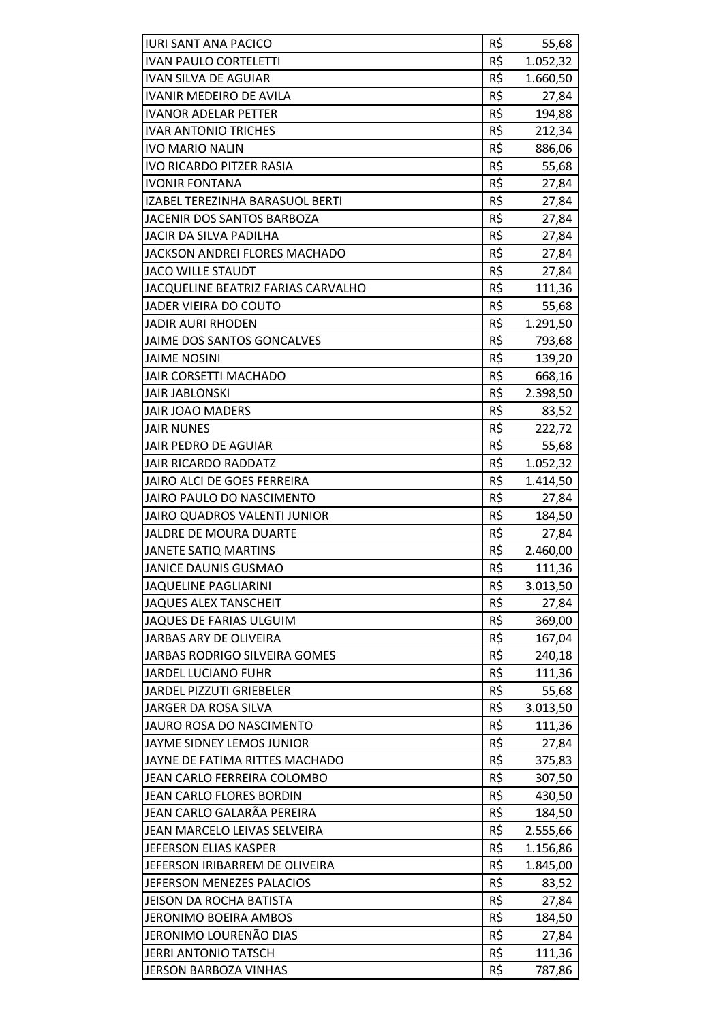| <b>IURI SANT ANA PACICO</b>         | R\$ | 55,68          |
|-------------------------------------|-----|----------------|
| <b>IVAN PAULO CORTELETTI</b>        | R\$ | 1.052,32       |
| <b>IVAN SILVA DE AGUIAR</b>         | R\$ | 1.660,50       |
| <b>IVANIR MEDEIRO DE AVILA</b>      | R\$ | 27,84          |
| <b>IVANOR ADELAR PETTER</b>         | R\$ | 194,88         |
| <b>IVAR ANTONIO TRICHES</b>         | R\$ | 212,34         |
| <b>IVO MARIO NALIN</b>              | R\$ | 886,06         |
| <b>IVO RICARDO PITZER RASIA</b>     | R\$ | 55,68          |
| <b>IVONIR FONTANA</b>               | R\$ | 27,84          |
| IZABEL TEREZINHA BARASUOL BERTI     | R\$ | 27,84          |
| JACENIR DOS SANTOS BARBOZA          | R\$ | 27,84          |
| JACIR DA SILVA PADILHA              | R\$ | 27,84          |
| JACKSON ANDREI FLORES MACHADO       | R\$ |                |
| <b>JACO WILLE STAUDT</b>            | R\$ | 27,84<br>27,84 |
| JACQUELINE BEATRIZ FARIAS CARVALHO  | R\$ |                |
| JADER VIEIRA DO COUTO               |     | 111,36         |
|                                     | R\$ | 55,68          |
| <b>JADIR AURI RHODEN</b>            | R\$ | 1.291,50       |
| JAIME DOS SANTOS GONCALVES          | R\$ | 793,68         |
| <b>JAIME NOSINI</b>                 | R\$ | 139,20         |
| <b>JAIR CORSETTI MACHADO</b>        | R\$ | 668,16         |
| <b>JAIR JABLONSKI</b>               | R\$ | 2.398,50       |
| <b>JAIR JOAO MADERS</b>             | R\$ | 83,52          |
| <b>JAIR NUNES</b>                   | R\$ | 222,72         |
| <b>JAIR PEDRO DE AGUIAR</b>         | R\$ | 55,68          |
| <b>JAIR RICARDO RADDATZ</b>         | R\$ | 1.052,32       |
| JAIRO ALCI DE GOES FERREIRA         | R\$ | 1.414,50       |
| JAIRO PAULO DO NASCIMENTO           | R\$ | 27,84          |
| <b>JAIRO QUADROS VALENTI JUNIOR</b> | R\$ | 184,50         |
| JALDRE DE MOURA DUARTE              | R\$ | 27,84          |
| <b>JANETE SATIQ MARTINS</b>         | R\$ | 2.460,00       |
| <b>JANICE DAUNIS GUSMAO</b>         | R\$ | 111,36         |
| <b>JAQUELINE PAGLIARINI</b>         | R\$ | 3.013,50       |
| <b>JAQUES ALEX TANSCHEIT</b>        | R\$ | 27,84          |
| <b>JAQUES DE FARIAS ULGUIM</b>      | R\$ | 369,00         |
| <b>JARBAS ARY DE OLIVEIRA</b>       | R\$ | 167,04         |
| JARBAS RODRIGO SILVEIRA GOMES       | R\$ | 240,18         |
| <b>JARDEL LUCIANO FUHR</b>          | R\$ | 111,36         |
| JARDEL PIZZUTI GRIEBELER            | R\$ | 55,68          |
| JARGER DA ROSA SILVA                | R\$ | 3.013,50       |
| <b>JAURO ROSA DO NASCIMENTO</b>     | R\$ | 111,36         |
| JAYME SIDNEY LEMOS JUNIOR           | R\$ | 27,84          |
| JAYNE DE FATIMA RITTES MACHADO      | R\$ | 375,83         |
| JEAN CARLO FERREIRA COLOMBO         | R\$ | 307,50         |
| JEAN CARLO FLORES BORDIN            | R\$ | 430,50         |
| JEAN CARLO GALARÃA PEREIRA          | R\$ | 184,50         |
| JEAN MARCELO LEIVAS SELVEIRA        | R\$ | 2.555,66       |
| JEFERSON ELIAS KASPER               | R\$ | 1.156,86       |
| JEFERSON IRIBARREM DE OLIVEIRA      | R\$ | 1.845,00       |
| JEFERSON MENEZES PALACIOS           | R\$ | 83,52          |
| <b>JEISON DA ROCHA BATISTA</b>      | R\$ | 27,84          |
| JERONIMO BOEIRA AMBOS               | R\$ | 184,50         |
| JERONIMO LOURENÃO DIAS              | R\$ | 27,84          |
| <b>JERRI ANTONIO TATSCH</b>         | R\$ | 111,36         |
| <b>JERSON BARBOZA VINHAS</b>        | R\$ | 787,86         |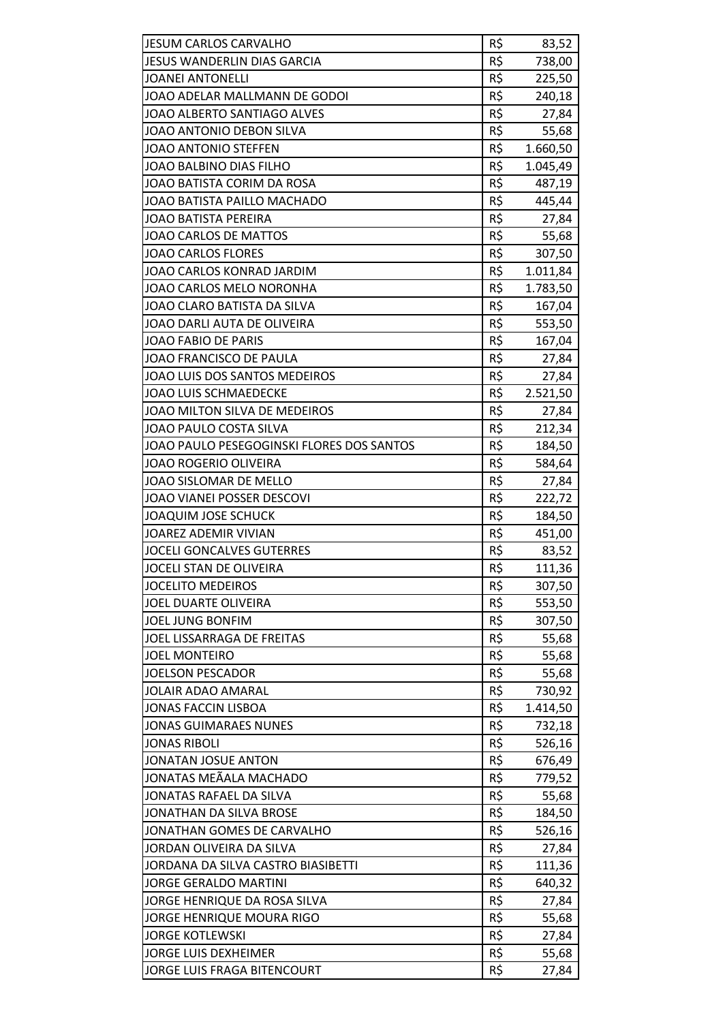| <b>JESUM CARLOS CARVALHO</b>              | R\$ | 83,52    |
|-------------------------------------------|-----|----------|
| JESUS WANDERLIN DIAS GARCIA               | R\$ | 738,00   |
| <b>JOANEI ANTONELLI</b>                   | R\$ | 225,50   |
| JOAO ADELAR MALLMANN DE GODOI             | R\$ | 240,18   |
| JOAO ALBERTO SANTIAGO ALVES               | R\$ | 27,84    |
| JOAO ANTONIO DEBON SILVA                  | R\$ | 55,68    |
| JOAO ANTONIO STEFFEN                      | R\$ | 1.660,50 |
| <b>JOAO BALBINO DIAS FILHO</b>            | R\$ | 1.045,49 |
| JOAO BATISTA CORIM DA ROSA                | R\$ | 487,19   |
| JOAO BATISTA PAILLO MACHADO               | R\$ | 445,44   |
| <b>JOAO BATISTA PEREIRA</b>               | R\$ | 27,84    |
| <b>JOAO CARLOS DE MATTOS</b>              | R\$ | 55,68    |
| <b>JOAO CARLOS FLORES</b>                 | R\$ | 307,50   |
| JOAO CARLOS KONRAD JARDIM                 | R\$ | 1.011,84 |
| JOAO CARLOS MELO NORONHA                  | R\$ | 1.783,50 |
| JOAO CLARO BATISTA DA SILVA               | R\$ | 167,04   |
| JOAO DARLI AUTA DE OLIVEIRA               | R\$ | 553,50   |
| <b>JOAO FABIO DE PARIS</b>                | R\$ | 167,04   |
| JOAO FRANCISCO DE PAULA                   | R\$ | 27,84    |
| JOAO LUIS DOS SANTOS MEDEIROS             | R\$ | 27,84    |
| <b>JOAO LUIS SCHMAEDECKE</b>              | R\$ | 2.521,50 |
| JOAO MILTON SILVA DE MEDEIROS             | R\$ | 27,84    |
| JOAO PAULO COSTA SILVA                    | R\$ | 212,34   |
| JOAO PAULO PESEGOGINSKI FLORES DOS SANTOS | R\$ | 184,50   |
| <b>JOAO ROGERIO OLIVEIRA</b>              | R\$ | 584,64   |
| JOAO SISLOMAR DE MELLO                    | R\$ | 27,84    |
| JOAO VIANEI POSSER DESCOVI                | R\$ | 222,72   |
| <b>JOAQUIM JOSE SCHUCK</b>                | R\$ | 184,50   |
| <b>JOAREZ ADEMIR VIVIAN</b>               | R\$ | 451,00   |
| <b>JOCELI GONCALVES GUTERRES</b>          | R\$ | 83,52    |
| JOCELI STAN DE OLIVEIRA                   | R\$ | 111,36   |
| <b>JOCELITO MEDEIROS</b>                  | R\$ | 307,50   |
| JOEL DUARTE OLIVEIRA                      | R\$ | 553,50   |
| <b>JOEL JUNG BONFIM</b>                   | R\$ | 307,50   |
| JOEL LISSARRAGA DE FREITAS                | R\$ | 55,68    |
| <b>JOEL MONTEIRO</b>                      | R\$ | 55,68    |
| <b>JOELSON PESCADOR</b>                   | R\$ | 55,68    |
| <b>JOLAIR ADAO AMARAL</b>                 | R\$ | 730,92   |
| <b>JONAS FACCIN LISBOA</b>                | R\$ | 1.414,50 |
| <b>JONAS GUIMARAES NUNES</b>              | R\$ | 732,18   |
| <b>JONAS RIBOLI</b>                       | R\$ | 526,16   |
| JONATAN JOSUE ANTON                       | R\$ | 676,49   |
| JONATAS MEÃALA MACHADO                    | R\$ | 779,52   |
| JONATAS RAFAEL DA SILVA                   | R\$ | 55,68    |
| <b>JONATHAN DA SILVA BROSE</b>            | R\$ | 184,50   |
| JONATHAN GOMES DE CARVALHO                | R\$ | 526,16   |
| JORDAN OLIVEIRA DA SILVA                  | R\$ | 27,84    |
| JORDANA DA SILVA CASTRO BIASIBETTI        | R\$ | 111,36   |
| <b>JORGE GERALDO MARTINI</b>              | R\$ | 640,32   |
| JORGE HENRIQUE DA ROSA SILVA              | R\$ | 27,84    |
| <b>JORGE HENRIQUE MOURA RIGO</b>          | R\$ | 55,68    |
| <b>JORGE KOTLEWSKI</b>                    | R\$ | 27,84    |
| <b>JORGE LUIS DEXHEIMER</b>               | R\$ | 55,68    |
| JORGE LUIS FRAGA BITENCOURT               | R\$ | 27,84    |
|                                           |     |          |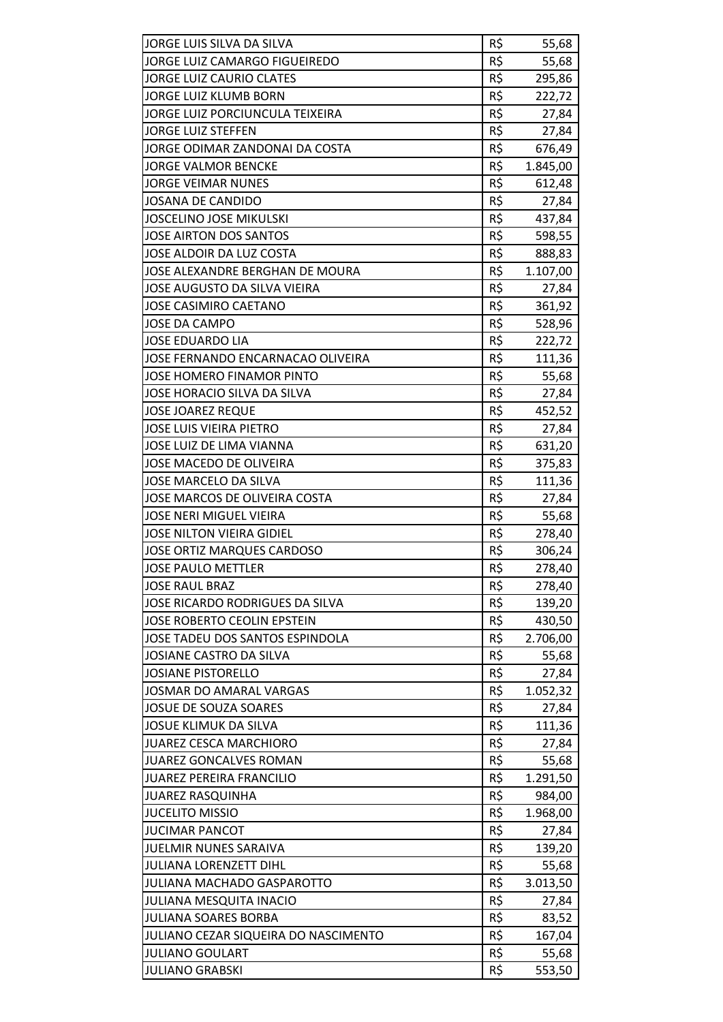| JORGE LUIS SILVA DA SILVA            | R\$ | 55,68    |
|--------------------------------------|-----|----------|
| JORGE LUIZ CAMARGO FIGUEIREDO        | R\$ | 55,68    |
| <b>JORGE LUIZ CAURIO CLATES</b>      | R\$ | 295,86   |
| JORGE LUIZ KLUMB BORN                | R\$ | 222,72   |
| JORGE LUIZ PORCIUNCULA TEIXEIRA      | R\$ | 27,84    |
| <b>JORGE LUIZ STEFFEN</b>            | R\$ | 27,84    |
| JORGE ODIMAR ZANDONAI DA COSTA       | R\$ | 676,49   |
| <b>JORGE VALMOR BENCKE</b>           | R\$ | 1.845,00 |
| <b>JORGE VEIMAR NUNES</b>            | R\$ | 612,48   |
| <b>JOSANA DE CANDIDO</b>             | R\$ | 27,84    |
| <b>JOSCELINO JOSE MIKULSKI</b>       | R\$ | 437,84   |
| JOSE AIRTON DOS SANTOS               | R\$ | 598,55   |
| JOSE ALDOIR DA LUZ COSTA             | R\$ | 888,83   |
| JOSE ALEXANDRE BERGHAN DE MOURA      | R\$ | 1.107,00 |
| <b>JOSE AUGUSTO DA SILVA VIEIRA</b>  | R\$ | 27,84    |
| <b>JOSE CASIMIRO CAETANO</b>         | R\$ | 361,92   |
| <b>JOSE DA CAMPO</b>                 | R\$ | 528,96   |
| <b>JOSE EDUARDO LIA</b>              | R\$ | 222,72   |
| JOSE FERNANDO ENCARNACAO OLIVEIRA    | R\$ | 111,36   |
| <b>JOSE HOMERO FINAMOR PINTO</b>     | R\$ | 55,68    |
| JOSE HORACIO SILVA DA SILVA          | R\$ | 27,84    |
| <b>JOSE JOAREZ REQUE</b>             | R\$ | 452,52   |
| <b>JOSE LUIS VIEIRA PIETRO</b>       | R\$ | 27,84    |
| <b>JOSE LUIZ DE LIMA VIANNA</b>      | R\$ | 631,20   |
| <b>JOSE MACEDO DE OLIVEIRA</b>       | R\$ | 375,83   |
| JOSE MARCELO DA SILVA                | R\$ | 111,36   |
| JOSE MARCOS DE OLIVEIRA COSTA        | R\$ | 27,84    |
| <b>JOSE NERI MIGUEL VIEIRA</b>       | R\$ | 55,68    |
| <b>JOSE NILTON VIEIRA GIDIEL</b>     | R\$ | 278,40   |
| <b>JOSE ORTIZ MARQUES CARDOSO</b>    | R\$ | 306,24   |
| <b>JOSE PAULO METTLER</b>            | R\$ | 278,40   |
| <b>JOSE RAUL BRAZ</b>                | R\$ | 278,40   |
| JOSE RICARDO RODRIGUES DA SILVA      | R\$ | 139,20   |
| JOSE ROBERTO CEOLIN EPSTEIN          | R\$ | 430,50   |
| JOSE TADEU DOS SANTOS ESPINDOLA      | R\$ | 2.706,00 |
| JOSIANE CASTRO DA SILVA              | R\$ | 55,68    |
| <b>JOSIANE PISTORELLO</b>            | R\$ | 27,84    |
| <b>JOSMAR DO AMARAL VARGAS</b>       | R\$ | 1.052,32 |
| <b>JOSUE DE SOUZA SOARES</b>         | R\$ | 27,84    |
| <b>JOSUE KLIMUK DA SILVA</b>         | R\$ | 111,36   |
| <b>JUAREZ CESCA MARCHIORO</b>        | R\$ | 27,84    |
| JUAREZ GONCALVES ROMAN               | R\$ | 55,68    |
| <b>JUAREZ PEREIRA FRANCILIO</b>      | R\$ | 1.291,50 |
| <b>JUAREZ RASQUINHA</b>              | R\$ | 984,00   |
| <b>JUCELITO MISSIO</b>               | R\$ | 1.968,00 |
| <b>JUCIMAR PANCOT</b>                | R\$ | 27,84    |
| <b>JUELMIR NUNES SARAIVA</b>         | R\$ | 139,20   |
| <b>JULIANA LORENZETT DIHL</b>        | R\$ | 55,68    |
| <b>JULIANA MACHADO GASPAROTTO</b>    | R\$ | 3.013,50 |
| <b>JULIANA MESQUITA INACIO</b>       | R\$ | 27,84    |
| <b>JULIANA SOARES BORBA</b>          | R\$ | 83,52    |
| JULIANO CEZAR SIQUEIRA DO NASCIMENTO | R\$ | 167,04   |
| <b>JULIANO GOULART</b>               | R\$ | 55,68    |
| <b>JULIANO GRABSKI</b>               | R\$ | 553,50   |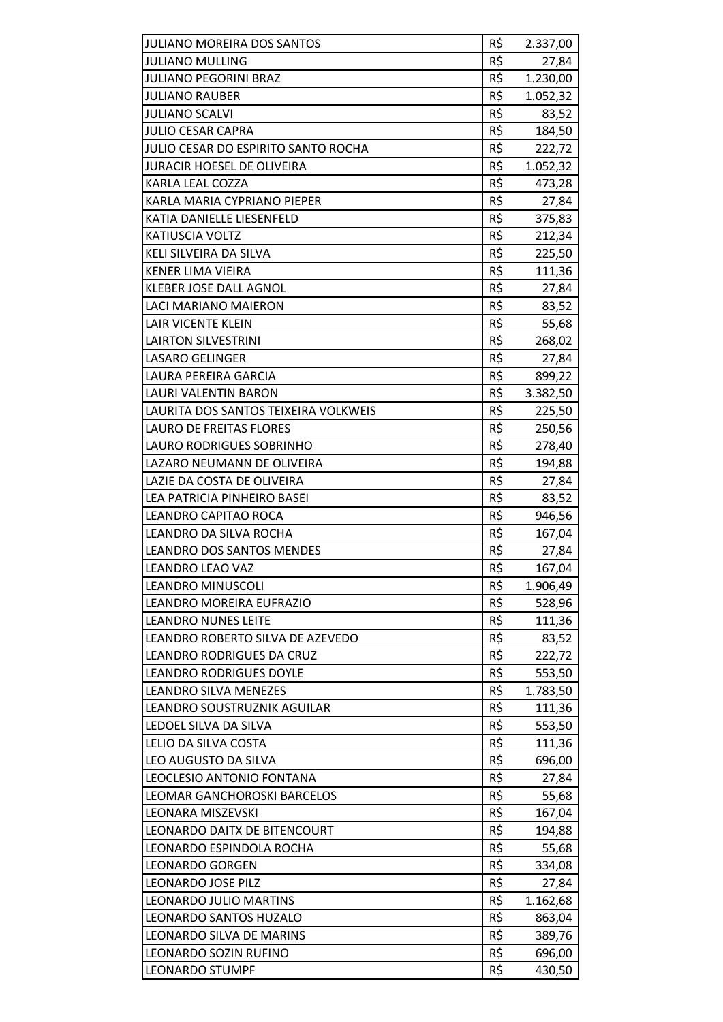| R\$<br><b>JULIANO MULLING</b><br>27,84<br>R\$<br><b>JULIANO PEGORINI BRAZ</b><br>1.230,00<br>R\$<br><b>JULIANO RAUBER</b><br>1.052,32<br>R\$<br><b>JULIANO SCALVI</b><br>83,52<br>R\$<br><b>JULIO CESAR CAPRA</b><br>184,50<br>R\$<br>JULIO CESAR DO ESPIRITO SANTO ROCHA<br>222,72<br>R\$<br><b>JURACIR HOESEL DE OLIVEIRA</b><br>1.052,32<br>R\$<br>KARLA LEAL COZZA<br>473,28<br>R\$<br>KARLA MARIA CYPRIANO PIEPER<br>27,84<br>R\$<br>KATIA DANIELLE LIESENFELD<br>375,83<br>R\$<br>KATIUSCIA VOLTZ<br>212,34<br>R\$<br>KELI SILVEIRA DA SILVA<br>225,50<br>R\$<br><b>KENER LIMA VIEIRA</b><br>111,36<br>R\$<br><b>KLEBER JOSE DALL AGNOL</b><br>27,84<br>R\$<br>LACI MARIANO MAIERON<br>83,52<br>R\$<br>55,68<br><b>LAIR VICENTE KLEIN</b><br>R\$<br><b>LAIRTON SILVESTRINI</b><br>268,02<br>R\$<br><b>LASARO GELINGER</b><br>27,84<br>R\$<br>LAURA PEREIRA GARCIA<br>899,22<br>R\$<br>LAURI VALENTIN BARON<br>3.382,50<br>R\$<br>LAURITA DOS SANTOS TEIXEIRA VOLKWEIS<br>225,50<br>R\$<br><b>LAURO DE FREITAS FLORES</b><br>250,56<br>R\$<br><b>LAURO RODRIGUES SOBRINHO</b><br>278,40<br>R\$<br>LAZARO NEUMANN DE OLIVEIRA<br>194,88<br>R\$<br>LAZIE DA COSTA DE OLIVEIRA<br>27,84<br>R\$<br>LEA PATRICIA PINHEIRO BASEI<br>83,52<br>R\$<br>LEANDRO CAPITAO ROCA<br>946,56<br>R\$<br>LEANDRO DA SILVA ROCHA<br>167,04<br>R\$<br><b>LEANDRO DOS SANTOS MENDES</b><br>27,84<br>R\$<br><b>LEANDRO LEAO VAZ</b><br>167,04<br><b>LEANDRO MINUSCOLI</b><br>R\$<br>1.906,49<br>R\$<br>LEANDRO MOREIRA EUFRAZIO<br>528,96<br>R\$<br><b>LEANDRO NUNES LEITE</b><br>111,36<br>R\$<br>LEANDRO ROBERTO SILVA DE AZEVEDO<br>83,52<br>R\$<br>LEANDRO RODRIGUES DA CRUZ<br>222,72<br>R\$<br><b>LEANDRO RODRIGUES DOYLE</b><br>553,50<br>R\$<br>LEANDRO SILVA MENEZES<br>1.783,50<br>R\$<br>LEANDRO SOUSTRUZNIK AGUILAR<br>111,36<br>R\$<br>LEDOEL SILVA DA SILVA<br>553,50<br>R\$<br>LELIO DA SILVA COSTA<br>111,36<br>R\$<br>LEO AUGUSTO DA SILVA<br>696,00<br>R\$<br>LEOCLESIO ANTONIO FONTANA<br>27,84<br>R\$<br>55,68<br>LEOMAR GANCHOROSKI BARCELOS<br>R\$<br>LEONARA MISZEVSKI<br>167,04<br>R\$<br>LEONARDO DAITX DE BITENCOURT<br>194,88<br>R\$<br>LEONARDO ESPINDOLA ROCHA<br>55,68<br>R\$<br><b>LEONARDO GORGEN</b><br>334,08<br>R\$<br><b>LEONARDO JOSE PILZ</b><br>27,84<br>R\$<br><b>LEONARDO JULIO MARTINS</b><br>1.162,68<br>$R\overline{S}$<br>LEONARDO SANTOS HUZALO<br>863,04<br>R\$<br>LEONARDO SILVA DE MARINS<br>389,76<br>R\$<br>LEONARDO SOZIN RUFINO<br>696,00<br><b>LEONARDO STUMPF</b> | <b>JULIANO MOREIRA DOS SANTOS</b> | R\$ | 2.337,00 |
|---------------------------------------------------------------------------------------------------------------------------------------------------------------------------------------------------------------------------------------------------------------------------------------------------------------------------------------------------------------------------------------------------------------------------------------------------------------------------------------------------------------------------------------------------------------------------------------------------------------------------------------------------------------------------------------------------------------------------------------------------------------------------------------------------------------------------------------------------------------------------------------------------------------------------------------------------------------------------------------------------------------------------------------------------------------------------------------------------------------------------------------------------------------------------------------------------------------------------------------------------------------------------------------------------------------------------------------------------------------------------------------------------------------------------------------------------------------------------------------------------------------------------------------------------------------------------------------------------------------------------------------------------------------------------------------------------------------------------------------------------------------------------------------------------------------------------------------------------------------------------------------------------------------------------------------------------------------------------------------------------------------------------------------------------------------------------------------------------------------------------------------------------------------------------------------------------------------------------------------------------------------------------------------------------------------------------------------------------------------------------------------------------------------------------------------------------------------------------------------------------------|-----------------------------------|-----|----------|
|                                                                                                                                                                                                                                                                                                                                                                                                                                                                                                                                                                                                                                                                                                                                                                                                                                                                                                                                                                                                                                                                                                                                                                                                                                                                                                                                                                                                                                                                                                                                                                                                                                                                                                                                                                                                                                                                                                                                                                                                                                                                                                                                                                                                                                                                                                                                                                                                                                                                                                         |                                   |     |          |
|                                                                                                                                                                                                                                                                                                                                                                                                                                                                                                                                                                                                                                                                                                                                                                                                                                                                                                                                                                                                                                                                                                                                                                                                                                                                                                                                                                                                                                                                                                                                                                                                                                                                                                                                                                                                                                                                                                                                                                                                                                                                                                                                                                                                                                                                                                                                                                                                                                                                                                         |                                   |     |          |
|                                                                                                                                                                                                                                                                                                                                                                                                                                                                                                                                                                                                                                                                                                                                                                                                                                                                                                                                                                                                                                                                                                                                                                                                                                                                                                                                                                                                                                                                                                                                                                                                                                                                                                                                                                                                                                                                                                                                                                                                                                                                                                                                                                                                                                                                                                                                                                                                                                                                                                         |                                   |     |          |
|                                                                                                                                                                                                                                                                                                                                                                                                                                                                                                                                                                                                                                                                                                                                                                                                                                                                                                                                                                                                                                                                                                                                                                                                                                                                                                                                                                                                                                                                                                                                                                                                                                                                                                                                                                                                                                                                                                                                                                                                                                                                                                                                                                                                                                                                                                                                                                                                                                                                                                         |                                   |     |          |
|                                                                                                                                                                                                                                                                                                                                                                                                                                                                                                                                                                                                                                                                                                                                                                                                                                                                                                                                                                                                                                                                                                                                                                                                                                                                                                                                                                                                                                                                                                                                                                                                                                                                                                                                                                                                                                                                                                                                                                                                                                                                                                                                                                                                                                                                                                                                                                                                                                                                                                         |                                   |     |          |
|                                                                                                                                                                                                                                                                                                                                                                                                                                                                                                                                                                                                                                                                                                                                                                                                                                                                                                                                                                                                                                                                                                                                                                                                                                                                                                                                                                                                                                                                                                                                                                                                                                                                                                                                                                                                                                                                                                                                                                                                                                                                                                                                                                                                                                                                                                                                                                                                                                                                                                         |                                   |     |          |
|                                                                                                                                                                                                                                                                                                                                                                                                                                                                                                                                                                                                                                                                                                                                                                                                                                                                                                                                                                                                                                                                                                                                                                                                                                                                                                                                                                                                                                                                                                                                                                                                                                                                                                                                                                                                                                                                                                                                                                                                                                                                                                                                                                                                                                                                                                                                                                                                                                                                                                         |                                   |     |          |
|                                                                                                                                                                                                                                                                                                                                                                                                                                                                                                                                                                                                                                                                                                                                                                                                                                                                                                                                                                                                                                                                                                                                                                                                                                                                                                                                                                                                                                                                                                                                                                                                                                                                                                                                                                                                                                                                                                                                                                                                                                                                                                                                                                                                                                                                                                                                                                                                                                                                                                         |                                   |     |          |
|                                                                                                                                                                                                                                                                                                                                                                                                                                                                                                                                                                                                                                                                                                                                                                                                                                                                                                                                                                                                                                                                                                                                                                                                                                                                                                                                                                                                                                                                                                                                                                                                                                                                                                                                                                                                                                                                                                                                                                                                                                                                                                                                                                                                                                                                                                                                                                                                                                                                                                         |                                   |     |          |
|                                                                                                                                                                                                                                                                                                                                                                                                                                                                                                                                                                                                                                                                                                                                                                                                                                                                                                                                                                                                                                                                                                                                                                                                                                                                                                                                                                                                                                                                                                                                                                                                                                                                                                                                                                                                                                                                                                                                                                                                                                                                                                                                                                                                                                                                                                                                                                                                                                                                                                         |                                   |     |          |
|                                                                                                                                                                                                                                                                                                                                                                                                                                                                                                                                                                                                                                                                                                                                                                                                                                                                                                                                                                                                                                                                                                                                                                                                                                                                                                                                                                                                                                                                                                                                                                                                                                                                                                                                                                                                                                                                                                                                                                                                                                                                                                                                                                                                                                                                                                                                                                                                                                                                                                         |                                   |     |          |
|                                                                                                                                                                                                                                                                                                                                                                                                                                                                                                                                                                                                                                                                                                                                                                                                                                                                                                                                                                                                                                                                                                                                                                                                                                                                                                                                                                                                                                                                                                                                                                                                                                                                                                                                                                                                                                                                                                                                                                                                                                                                                                                                                                                                                                                                                                                                                                                                                                                                                                         |                                   |     |          |
|                                                                                                                                                                                                                                                                                                                                                                                                                                                                                                                                                                                                                                                                                                                                                                                                                                                                                                                                                                                                                                                                                                                                                                                                                                                                                                                                                                                                                                                                                                                                                                                                                                                                                                                                                                                                                                                                                                                                                                                                                                                                                                                                                                                                                                                                                                                                                                                                                                                                                                         |                                   |     |          |
|                                                                                                                                                                                                                                                                                                                                                                                                                                                                                                                                                                                                                                                                                                                                                                                                                                                                                                                                                                                                                                                                                                                                                                                                                                                                                                                                                                                                                                                                                                                                                                                                                                                                                                                                                                                                                                                                                                                                                                                                                                                                                                                                                                                                                                                                                                                                                                                                                                                                                                         |                                   |     |          |
|                                                                                                                                                                                                                                                                                                                                                                                                                                                                                                                                                                                                                                                                                                                                                                                                                                                                                                                                                                                                                                                                                                                                                                                                                                                                                                                                                                                                                                                                                                                                                                                                                                                                                                                                                                                                                                                                                                                                                                                                                                                                                                                                                                                                                                                                                                                                                                                                                                                                                                         |                                   |     |          |
|                                                                                                                                                                                                                                                                                                                                                                                                                                                                                                                                                                                                                                                                                                                                                                                                                                                                                                                                                                                                                                                                                                                                                                                                                                                                                                                                                                                                                                                                                                                                                                                                                                                                                                                                                                                                                                                                                                                                                                                                                                                                                                                                                                                                                                                                                                                                                                                                                                                                                                         |                                   |     |          |
|                                                                                                                                                                                                                                                                                                                                                                                                                                                                                                                                                                                                                                                                                                                                                                                                                                                                                                                                                                                                                                                                                                                                                                                                                                                                                                                                                                                                                                                                                                                                                                                                                                                                                                                                                                                                                                                                                                                                                                                                                                                                                                                                                                                                                                                                                                                                                                                                                                                                                                         |                                   |     |          |
|                                                                                                                                                                                                                                                                                                                                                                                                                                                                                                                                                                                                                                                                                                                                                                                                                                                                                                                                                                                                                                                                                                                                                                                                                                                                                                                                                                                                                                                                                                                                                                                                                                                                                                                                                                                                                                                                                                                                                                                                                                                                                                                                                                                                                                                                                                                                                                                                                                                                                                         |                                   |     |          |
|                                                                                                                                                                                                                                                                                                                                                                                                                                                                                                                                                                                                                                                                                                                                                                                                                                                                                                                                                                                                                                                                                                                                                                                                                                                                                                                                                                                                                                                                                                                                                                                                                                                                                                                                                                                                                                                                                                                                                                                                                                                                                                                                                                                                                                                                                                                                                                                                                                                                                                         |                                   |     |          |
|                                                                                                                                                                                                                                                                                                                                                                                                                                                                                                                                                                                                                                                                                                                                                                                                                                                                                                                                                                                                                                                                                                                                                                                                                                                                                                                                                                                                                                                                                                                                                                                                                                                                                                                                                                                                                                                                                                                                                                                                                                                                                                                                                                                                                                                                                                                                                                                                                                                                                                         |                                   |     |          |
|                                                                                                                                                                                                                                                                                                                                                                                                                                                                                                                                                                                                                                                                                                                                                                                                                                                                                                                                                                                                                                                                                                                                                                                                                                                                                                                                                                                                                                                                                                                                                                                                                                                                                                                                                                                                                                                                                                                                                                                                                                                                                                                                                                                                                                                                                                                                                                                                                                                                                                         |                                   |     |          |
|                                                                                                                                                                                                                                                                                                                                                                                                                                                                                                                                                                                                                                                                                                                                                                                                                                                                                                                                                                                                                                                                                                                                                                                                                                                                                                                                                                                                                                                                                                                                                                                                                                                                                                                                                                                                                                                                                                                                                                                                                                                                                                                                                                                                                                                                                                                                                                                                                                                                                                         |                                   |     |          |
|                                                                                                                                                                                                                                                                                                                                                                                                                                                                                                                                                                                                                                                                                                                                                                                                                                                                                                                                                                                                                                                                                                                                                                                                                                                                                                                                                                                                                                                                                                                                                                                                                                                                                                                                                                                                                                                                                                                                                                                                                                                                                                                                                                                                                                                                                                                                                                                                                                                                                                         |                                   |     |          |
|                                                                                                                                                                                                                                                                                                                                                                                                                                                                                                                                                                                                                                                                                                                                                                                                                                                                                                                                                                                                                                                                                                                                                                                                                                                                                                                                                                                                                                                                                                                                                                                                                                                                                                                                                                                                                                                                                                                                                                                                                                                                                                                                                                                                                                                                                                                                                                                                                                                                                                         |                                   |     |          |
|                                                                                                                                                                                                                                                                                                                                                                                                                                                                                                                                                                                                                                                                                                                                                                                                                                                                                                                                                                                                                                                                                                                                                                                                                                                                                                                                                                                                                                                                                                                                                                                                                                                                                                                                                                                                                                                                                                                                                                                                                                                                                                                                                                                                                                                                                                                                                                                                                                                                                                         |                                   |     |          |
|                                                                                                                                                                                                                                                                                                                                                                                                                                                                                                                                                                                                                                                                                                                                                                                                                                                                                                                                                                                                                                                                                                                                                                                                                                                                                                                                                                                                                                                                                                                                                                                                                                                                                                                                                                                                                                                                                                                                                                                                                                                                                                                                                                                                                                                                                                                                                                                                                                                                                                         |                                   |     |          |
|                                                                                                                                                                                                                                                                                                                                                                                                                                                                                                                                                                                                                                                                                                                                                                                                                                                                                                                                                                                                                                                                                                                                                                                                                                                                                                                                                                                                                                                                                                                                                                                                                                                                                                                                                                                                                                                                                                                                                                                                                                                                                                                                                                                                                                                                                                                                                                                                                                                                                                         |                                   |     |          |
|                                                                                                                                                                                                                                                                                                                                                                                                                                                                                                                                                                                                                                                                                                                                                                                                                                                                                                                                                                                                                                                                                                                                                                                                                                                                                                                                                                                                                                                                                                                                                                                                                                                                                                                                                                                                                                                                                                                                                                                                                                                                                                                                                                                                                                                                                                                                                                                                                                                                                                         |                                   |     |          |
|                                                                                                                                                                                                                                                                                                                                                                                                                                                                                                                                                                                                                                                                                                                                                                                                                                                                                                                                                                                                                                                                                                                                                                                                                                                                                                                                                                                                                                                                                                                                                                                                                                                                                                                                                                                                                                                                                                                                                                                                                                                                                                                                                                                                                                                                                                                                                                                                                                                                                                         |                                   |     |          |
|                                                                                                                                                                                                                                                                                                                                                                                                                                                                                                                                                                                                                                                                                                                                                                                                                                                                                                                                                                                                                                                                                                                                                                                                                                                                                                                                                                                                                                                                                                                                                                                                                                                                                                                                                                                                                                                                                                                                                                                                                                                                                                                                                                                                                                                                                                                                                                                                                                                                                                         |                                   |     |          |
|                                                                                                                                                                                                                                                                                                                                                                                                                                                                                                                                                                                                                                                                                                                                                                                                                                                                                                                                                                                                                                                                                                                                                                                                                                                                                                                                                                                                                                                                                                                                                                                                                                                                                                                                                                                                                                                                                                                                                                                                                                                                                                                                                                                                                                                                                                                                                                                                                                                                                                         |                                   |     |          |
|                                                                                                                                                                                                                                                                                                                                                                                                                                                                                                                                                                                                                                                                                                                                                                                                                                                                                                                                                                                                                                                                                                                                                                                                                                                                                                                                                                                                                                                                                                                                                                                                                                                                                                                                                                                                                                                                                                                                                                                                                                                                                                                                                                                                                                                                                                                                                                                                                                                                                                         |                                   |     |          |
|                                                                                                                                                                                                                                                                                                                                                                                                                                                                                                                                                                                                                                                                                                                                                                                                                                                                                                                                                                                                                                                                                                                                                                                                                                                                                                                                                                                                                                                                                                                                                                                                                                                                                                                                                                                                                                                                                                                                                                                                                                                                                                                                                                                                                                                                                                                                                                                                                                                                                                         |                                   |     |          |
|                                                                                                                                                                                                                                                                                                                                                                                                                                                                                                                                                                                                                                                                                                                                                                                                                                                                                                                                                                                                                                                                                                                                                                                                                                                                                                                                                                                                                                                                                                                                                                                                                                                                                                                                                                                                                                                                                                                                                                                                                                                                                                                                                                                                                                                                                                                                                                                                                                                                                                         |                                   |     |          |
|                                                                                                                                                                                                                                                                                                                                                                                                                                                                                                                                                                                                                                                                                                                                                                                                                                                                                                                                                                                                                                                                                                                                                                                                                                                                                                                                                                                                                                                                                                                                                                                                                                                                                                                                                                                                                                                                                                                                                                                                                                                                                                                                                                                                                                                                                                                                                                                                                                                                                                         |                                   |     |          |
|                                                                                                                                                                                                                                                                                                                                                                                                                                                                                                                                                                                                                                                                                                                                                                                                                                                                                                                                                                                                                                                                                                                                                                                                                                                                                                                                                                                                                                                                                                                                                                                                                                                                                                                                                                                                                                                                                                                                                                                                                                                                                                                                                                                                                                                                                                                                                                                                                                                                                                         |                                   |     |          |
|                                                                                                                                                                                                                                                                                                                                                                                                                                                                                                                                                                                                                                                                                                                                                                                                                                                                                                                                                                                                                                                                                                                                                                                                                                                                                                                                                                                                                                                                                                                                                                                                                                                                                                                                                                                                                                                                                                                                                                                                                                                                                                                                                                                                                                                                                                                                                                                                                                                                                                         |                                   |     |          |
|                                                                                                                                                                                                                                                                                                                                                                                                                                                                                                                                                                                                                                                                                                                                                                                                                                                                                                                                                                                                                                                                                                                                                                                                                                                                                                                                                                                                                                                                                                                                                                                                                                                                                                                                                                                                                                                                                                                                                                                                                                                                                                                                                                                                                                                                                                                                                                                                                                                                                                         |                                   |     |          |
|                                                                                                                                                                                                                                                                                                                                                                                                                                                                                                                                                                                                                                                                                                                                                                                                                                                                                                                                                                                                                                                                                                                                                                                                                                                                                                                                                                                                                                                                                                                                                                                                                                                                                                                                                                                                                                                                                                                                                                                                                                                                                                                                                                                                                                                                                                                                                                                                                                                                                                         |                                   |     |          |
|                                                                                                                                                                                                                                                                                                                                                                                                                                                                                                                                                                                                                                                                                                                                                                                                                                                                                                                                                                                                                                                                                                                                                                                                                                                                                                                                                                                                                                                                                                                                                                                                                                                                                                                                                                                                                                                                                                                                                                                                                                                                                                                                                                                                                                                                                                                                                                                                                                                                                                         |                                   |     |          |
|                                                                                                                                                                                                                                                                                                                                                                                                                                                                                                                                                                                                                                                                                                                                                                                                                                                                                                                                                                                                                                                                                                                                                                                                                                                                                                                                                                                                                                                                                                                                                                                                                                                                                                                                                                                                                                                                                                                                                                                                                                                                                                                                                                                                                                                                                                                                                                                                                                                                                                         |                                   |     |          |
|                                                                                                                                                                                                                                                                                                                                                                                                                                                                                                                                                                                                                                                                                                                                                                                                                                                                                                                                                                                                                                                                                                                                                                                                                                                                                                                                                                                                                                                                                                                                                                                                                                                                                                                                                                                                                                                                                                                                                                                                                                                                                                                                                                                                                                                                                                                                                                                                                                                                                                         |                                   |     |          |
|                                                                                                                                                                                                                                                                                                                                                                                                                                                                                                                                                                                                                                                                                                                                                                                                                                                                                                                                                                                                                                                                                                                                                                                                                                                                                                                                                                                                                                                                                                                                                                                                                                                                                                                                                                                                                                                                                                                                                                                                                                                                                                                                                                                                                                                                                                                                                                                                                                                                                                         |                                   |     |          |
|                                                                                                                                                                                                                                                                                                                                                                                                                                                                                                                                                                                                                                                                                                                                                                                                                                                                                                                                                                                                                                                                                                                                                                                                                                                                                                                                                                                                                                                                                                                                                                                                                                                                                                                                                                                                                                                                                                                                                                                                                                                                                                                                                                                                                                                                                                                                                                                                                                                                                                         |                                   |     |          |
|                                                                                                                                                                                                                                                                                                                                                                                                                                                                                                                                                                                                                                                                                                                                                                                                                                                                                                                                                                                                                                                                                                                                                                                                                                                                                                                                                                                                                                                                                                                                                                                                                                                                                                                                                                                                                                                                                                                                                                                                                                                                                                                                                                                                                                                                                                                                                                                                                                                                                                         |                                   |     |          |
|                                                                                                                                                                                                                                                                                                                                                                                                                                                                                                                                                                                                                                                                                                                                                                                                                                                                                                                                                                                                                                                                                                                                                                                                                                                                                                                                                                                                                                                                                                                                                                                                                                                                                                                                                                                                                                                                                                                                                                                                                                                                                                                                                                                                                                                                                                                                                                                                                                                                                                         |                                   |     |          |
|                                                                                                                                                                                                                                                                                                                                                                                                                                                                                                                                                                                                                                                                                                                                                                                                                                                                                                                                                                                                                                                                                                                                                                                                                                                                                                                                                                                                                                                                                                                                                                                                                                                                                                                                                                                                                                                                                                                                                                                                                                                                                                                                                                                                                                                                                                                                                                                                                                                                                                         |                                   |     |          |
|                                                                                                                                                                                                                                                                                                                                                                                                                                                                                                                                                                                                                                                                                                                                                                                                                                                                                                                                                                                                                                                                                                                                                                                                                                                                                                                                                                                                                                                                                                                                                                                                                                                                                                                                                                                                                                                                                                                                                                                                                                                                                                                                                                                                                                                                                                                                                                                                                                                                                                         |                                   |     |          |
|                                                                                                                                                                                                                                                                                                                                                                                                                                                                                                                                                                                                                                                                                                                                                                                                                                                                                                                                                                                                                                                                                                                                                                                                                                                                                                                                                                                                                                                                                                                                                                                                                                                                                                                                                                                                                                                                                                                                                                                                                                                                                                                                                                                                                                                                                                                                                                                                                                                                                                         |                                   |     |          |
|                                                                                                                                                                                                                                                                                                                                                                                                                                                                                                                                                                                                                                                                                                                                                                                                                                                                                                                                                                                                                                                                                                                                                                                                                                                                                                                                                                                                                                                                                                                                                                                                                                                                                                                                                                                                                                                                                                                                                                                                                                                                                                                                                                                                                                                                                                                                                                                                                                                                                                         |                                   |     |          |
|                                                                                                                                                                                                                                                                                                                                                                                                                                                                                                                                                                                                                                                                                                                                                                                                                                                                                                                                                                                                                                                                                                                                                                                                                                                                                                                                                                                                                                                                                                                                                                                                                                                                                                                                                                                                                                                                                                                                                                                                                                                                                                                                                                                                                                                                                                                                                                                                                                                                                                         |                                   |     |          |
|                                                                                                                                                                                                                                                                                                                                                                                                                                                                                                                                                                                                                                                                                                                                                                                                                                                                                                                                                                                                                                                                                                                                                                                                                                                                                                                                                                                                                                                                                                                                                                                                                                                                                                                                                                                                                                                                                                                                                                                                                                                                                                                                                                                                                                                                                                                                                                                                                                                                                                         |                                   | R\$ | 430,50   |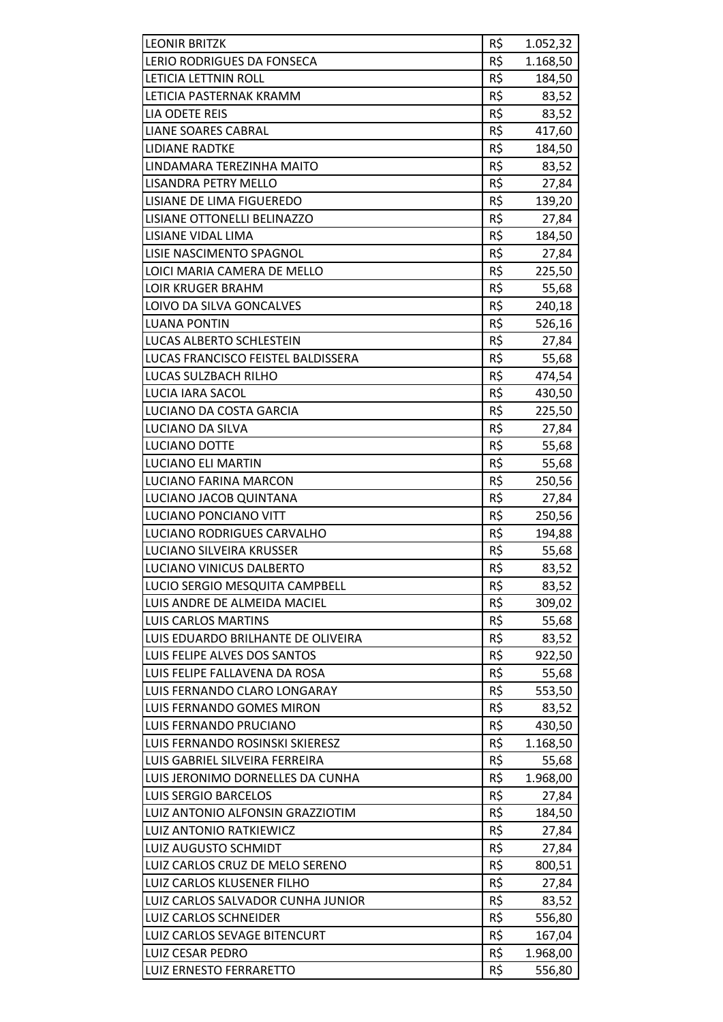| <b>LEONIR BRITZK</b>               | R\$ | 1.052,32 |
|------------------------------------|-----|----------|
| LERIO RODRIGUES DA FONSECA         | R\$ | 1.168,50 |
| LETICIA LETTNIN ROLL               | R\$ | 184,50   |
| LETICIA PASTERNAK KRAMM            | R\$ | 83,52    |
| LIA ODETE REIS                     | R\$ | 83,52    |
| <b>LIANE SOARES CABRAL</b>         | R\$ | 417,60   |
| <b>LIDIANE RADTKE</b>              | R\$ | 184,50   |
| LINDAMARA TEREZINHA MAITO          | R\$ | 83,52    |
| <b>LISANDRA PETRY MELLO</b>        | R\$ | 27,84    |
| LISIANE DE LIMA FIGUEREDO          | R\$ | 139,20   |
| LISIANE OTTONELLI BELINAZZO        | R\$ | 27,84    |
| LISIANE VIDAL LIMA                 | R\$ | 184,50   |
| LISIE NASCIMENTO SPAGNOL           | R\$ | 27,84    |
| LOICI MARIA CAMERA DE MELLO        | R\$ | 225,50   |
| <b>LOIR KRUGER BRAHM</b>           | R\$ | 55,68    |
| LOIVO DA SILVA GONCALVES           | R\$ | 240,18   |
| <b>LUANA PONTIN</b>                | R\$ | 526,16   |
| <b>LUCAS ALBERTO SCHLESTEIN</b>    | R\$ | 27,84    |
| LUCAS FRANCISCO FEISTEL BALDISSERA | R\$ | 55,68    |
| LUCAS SULZBACH RILHO               | R\$ | 474,54   |
| LUCIA IARA SACOL                   | R\$ | 430,50   |
| LUCIANO DA COSTA GARCIA            | R\$ | 225,50   |
| LUCIANO DA SILVA                   | R\$ | 27,84    |
| LUCIANO DOTTE                      | R\$ | 55,68    |
| <b>LUCIANO ELI MARTIN</b>          | R\$ | 55,68    |
| LUCIANO FARINA MARCON              | R\$ | 250,56   |
| LUCIANO JACOB QUINTANA             | R\$ | 27,84    |
| <b>LUCIANO PONCIANO VITT</b>       | R\$ | 250,56   |
| LUCIANO RODRIGUES CARVALHO         | R\$ | 194,88   |
| LUCIANO SILVEIRA KRUSSER           | R\$ | 55,68    |
| LUCIANO VINICUS DALBERTO           | R\$ | 83,52    |
| LUCIO SERGIO MESQUITA CAMPBELL     | R\$ | 83,52    |
| LUIS ANDRE DE ALMEIDA MACIEL       | R\$ | 309,02   |
| <b>LUIS CARLOS MARTINS</b>         | R\$ | 55,68    |
| LUIS EDUARDO BRILHANTE DE OLIVEIRA | R\$ | 83,52    |
| LUIS FELIPE ALVES DOS SANTOS       | R\$ | 922,50   |
| LUIS FELIPE FALLAVENA DA ROSA      | R\$ | 55,68    |
| LUIS FERNANDO CLARO LONGARAY       | R\$ | 553,50   |
| LUIS FERNANDO GOMES MIRON          | R\$ | 83,52    |
| LUIS FERNANDO PRUCIANO             | R\$ | 430,50   |
| LUIS FERNANDO ROSINSKI SKIERESZ    | R\$ | 1.168,50 |
| LUIS GABRIEL SILVEIRA FERREIRA     | R\$ | 55,68    |
| LUIS JERONIMO DORNELLES DA CUNHA   | R\$ | 1.968,00 |
| <b>LUIS SERGIO BARCELOS</b>        | R\$ | 27,84    |
| LUIZ ANTONIO ALFONSIN GRAZZIOTIM   | R\$ | 184,50   |
| <b>LUIZ ANTONIO RATKIEWICZ</b>     | R\$ | 27,84    |
| <b>LUIZ AUGUSTO SCHMIDT</b>        | R\$ | 27,84    |
| LUIZ CARLOS CRUZ DE MELO SERENO    | R\$ | 800,51   |
| LUIZ CARLOS KLUSENER FILHO         | R\$ | 27,84    |
| LUIZ CARLOS SALVADOR CUNHA JUNIOR  | R\$ | 83,52    |
| <b>LUIZ CARLOS SCHNEIDER</b>       | R\$ | 556,80   |
| LUIZ CARLOS SEVAGE BITENCURT       | R\$ | 167,04   |
| <b>LUIZ CESAR PEDRO</b>            | R\$ | 1.968,00 |
| LUIZ ERNESTO FERRARETTO            | R\$ | 556,80   |
|                                    |     |          |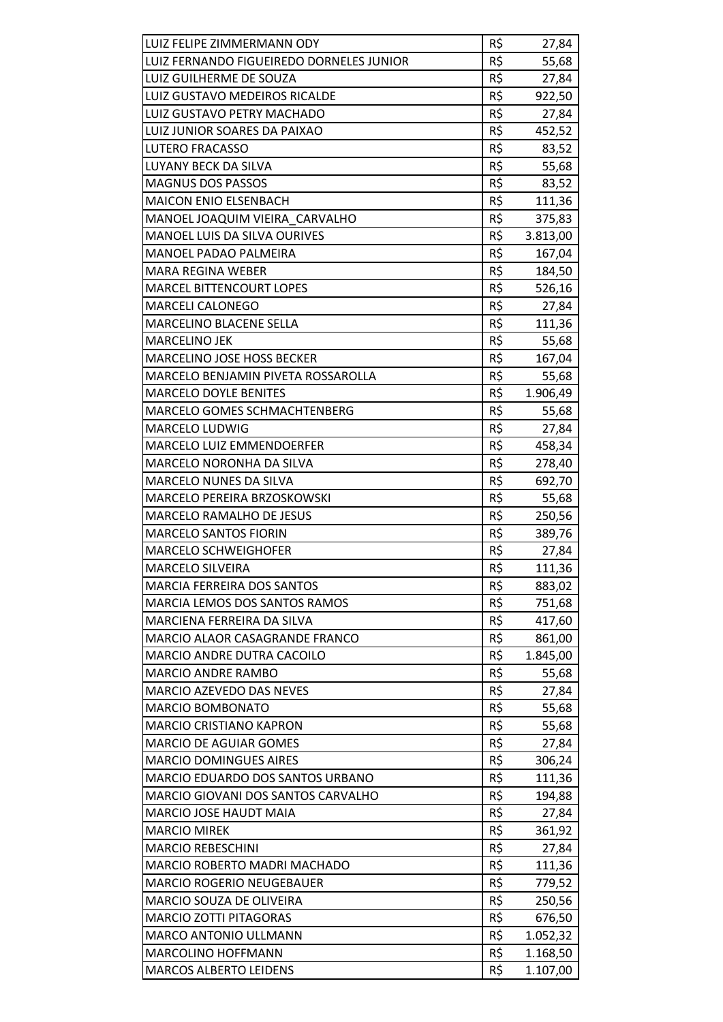| LUIZ FELIPE ZIMMERMANN ODY               | R\$ | 27,84    |
|------------------------------------------|-----|----------|
| LUIZ FERNANDO FIGUEIREDO DORNELES JUNIOR | R\$ | 55,68    |
| LUIZ GUILHERME DE SOUZA                  | R\$ | 27,84    |
| LUIZ GUSTAVO MEDEIROS RICALDE            | R\$ | 922,50   |
| <b>LUIZ GUSTAVO PETRY MACHADO</b>        | R\$ | 27,84    |
| LUIZ JUNIOR SOARES DA PAIXAO             | R\$ | 452,52   |
| LUTERO FRACASSO                          | R\$ | 83,52    |
| LUYANY BECK DA SILVA                     | R\$ | 55,68    |
| <b>MAGNUS DOS PASSOS</b>                 | R\$ | 83,52    |
| <b>MAICON ENIO ELSENBACH</b>             | R\$ | 111,36   |
| MANOEL JOAQUIM VIEIRA CARVALHO           | R\$ | 375,83   |
| MANOEL LUIS DA SILVA OURIVES             | R\$ | 3.813,00 |
| MANOEL PADAO PALMEIRA                    | R\$ | 167,04   |
| <b>MARA REGINA WEBER</b>                 | R\$ | 184,50   |
| <b>MARCEL BITTENCOURT LOPES</b>          | R\$ | 526,16   |
| <b>MARCELI CALONEGO</b>                  | R\$ | 27,84    |
| MARCELINO BLACENE SELLA                  | R\$ | 111,36   |
| <b>MARCELINO JEK</b>                     | R\$ | 55,68    |
| <b>MARCELINO JOSE HOSS BECKER</b>        | R\$ | 167,04   |
| MARCELO BENJAMIN PIVETA ROSSAROLLA       | R\$ | 55,68    |
| <b>MARCELO DOYLE BENITES</b>             | R\$ | 1.906,49 |
| <b>MARCELO GOMES SCHMACHTENBERG</b>      | R\$ | 55,68    |
| <b>MARCELO LUDWIG</b>                    | R\$ | 27,84    |
| <b>MARCELO LUIZ EMMENDOERFER</b>         | R\$ | 458,34   |
| <b>MARCELO NORONHA DA SILVA</b>          | R\$ | 278,40   |
| MARCELO NUNES DA SILVA                   | R\$ | 692,70   |
| MARCELO PEREIRA BRZOSKOWSKI              | R\$ | 55,68    |
| <b>MARCELO RAMALHO DE JESUS</b>          | R\$ | 250,56   |
| <b>MARCELO SANTOS FIORIN</b>             | R\$ | 389,76   |
| <b>MARCELO SCHWEIGHOFER</b>              | R\$ | 27,84    |
| <b>MARCELO SILVEIRA</b>                  | R\$ | 111,36   |
| <b>MARCIA FERREIRA DOS SANTOS</b>        | R\$ | 883,02   |
| MARCIA LEMOS DOS SANTOS RAMOS            | R\$ | 751,68   |
| MARCIENA FERREIRA DA SILVA               | R\$ | 417,60   |
| MARCIO ALAOR CASAGRANDE FRANCO           | R\$ | 861,00   |
| MARCIO ANDRE DUTRA CACOILO               | R\$ | 1.845,00 |
| <b>MARCIO ANDRE RAMBO</b>                | R\$ | 55,68    |
| MARCIO AZEVEDO DAS NEVES                 | R\$ | 27,84    |
| <b>MARCIO BOMBONATO</b>                  | R\$ | 55,68    |
| <b>MARCIO CRISTIANO KAPRON</b>           | R\$ | 55,68    |
| <b>MARCIO DE AGUIAR GOMES</b>            | R\$ | 27,84    |
| <b>MARCIO DOMINGUES AIRES</b>            | R\$ | 306,24   |
| MARCIO EDUARDO DOS SANTOS URBANO         | R\$ | 111,36   |
| MARCIO GIOVANI DOS SANTOS CARVALHO       | R\$ | 194,88   |
| MARCIO JOSE HAUDT MAIA                   | R\$ | 27,84    |
| <b>MARCIO MIREK</b>                      | R\$ | 361,92   |
| <b>MARCIO REBESCHINI</b>                 | R\$ | 27,84    |
| MARCIO ROBERTO MADRI MACHADO             | R\$ | 111,36   |
| <b>MARCIO ROGERIO NEUGEBAUER</b>         | R\$ | 779,52   |
| <b>MARCIO SOUZA DE OLIVEIRA</b>          | R\$ | 250,56   |
| <b>MARCIO ZOTTI PITAGORAS</b>            | R\$ | 676,50   |
| MARCO ANTONIO ULLMANN                    | R\$ | 1.052,32 |
| <b>MARCOLINO HOFFMANN</b>                | R\$ | 1.168,50 |
| <b>MARCOS ALBERTO LEIDENS</b>            | R\$ | 1.107,00 |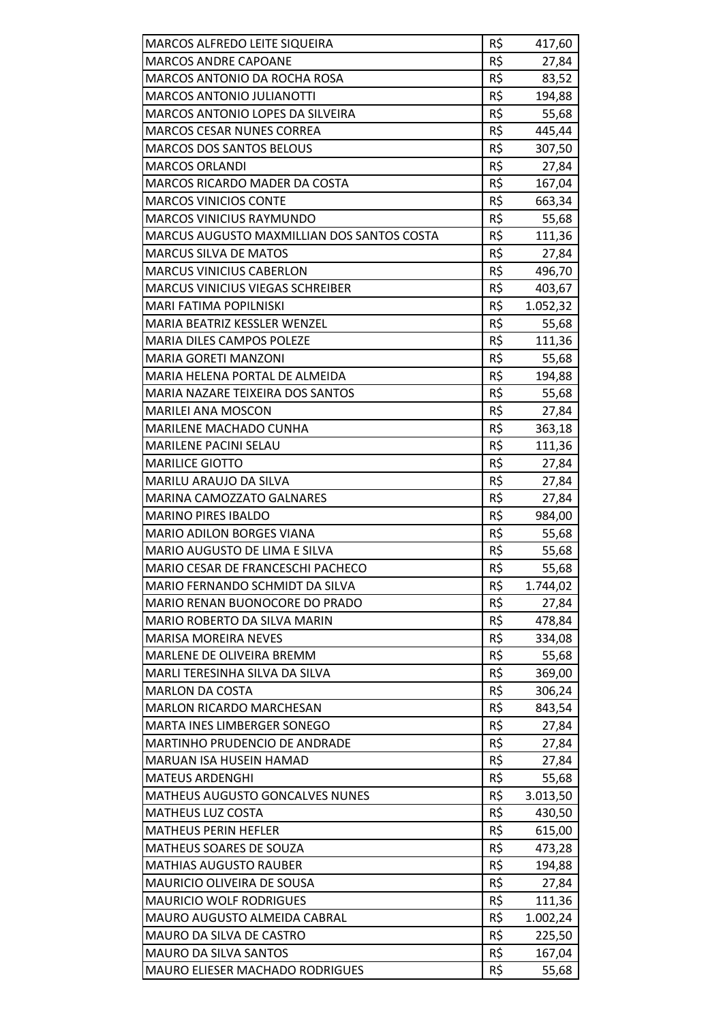| MARCOS ALFREDO LEITE SIQUEIRA              | R\$ | 417,60   |
|--------------------------------------------|-----|----------|
| <b>MARCOS ANDRE CAPOANE</b>                | R\$ | 27,84    |
| <b>MARCOS ANTONIO DA ROCHA ROSA</b>        | R\$ | 83,52    |
| <b>MARCOS ANTONIO JULIANOTTI</b>           | R\$ | 194,88   |
| MARCOS ANTONIO LOPES DA SILVEIRA           | R\$ | 55,68    |
| <b>MARCOS CESAR NUNES CORREA</b>           | R\$ | 445,44   |
| <b>MARCOS DOS SANTOS BELOUS</b>            | R\$ | 307,50   |
| <b>MARCOS ORLANDI</b>                      | R\$ | 27,84    |
| <b>MARCOS RICARDO MADER DA COSTA</b>       | R\$ | 167,04   |
| <b>MARCOS VINICIOS CONTE</b>               | R\$ | 663,34   |
| <b>MARCOS VINICIUS RAYMUNDO</b>            | R\$ | 55,68    |
| MARCUS AUGUSTO MAXMILLIAN DOS SANTOS COSTA | R\$ | 111,36   |
| <b>MARCUS SILVA DE MATOS</b>               | R\$ | 27,84    |
| <b>MARCUS VINICIUS CABERLON</b>            | R\$ | 496,70   |
| MARCUS VINICIUS VIEGAS SCHREIBER           | R\$ | 403,67   |
| MARI FATIMA POPILNISKI                     | R\$ | 1.052,32 |
| MARIA BEATRIZ KESSLER WENZEL               | R\$ | 55,68    |
| <b>MARIA DILES CAMPOS POLEZE</b>           | R\$ | 111,36   |
| <b>MARIA GORETI MANZONI</b>                | R\$ | 55,68    |
| MARIA HELENA PORTAL DE ALMEIDA             | R\$ | 194,88   |
| MARIA NAZARE TEIXEIRA DOS SANTOS           | R\$ | 55,68    |
| <b>MARILEI ANA MOSCON</b>                  | R\$ | 27,84    |
| MARILENE MACHADO CUNHA                     | R\$ | 363,18   |
| MARILENE PACINI SELAU                      | R\$ | 111,36   |
| <b>MARILICE GIOTTO</b>                     | R\$ | 27,84    |
| MARILU ARAUJO DA SILVA                     | R\$ | 27,84    |
| <b>MARINA CAMOZZATO GALNARES</b>           | R\$ | 27,84    |
| <b>MARINO PIRES IBALDO</b>                 | R\$ | 984,00   |
| <b>MARIO ADILON BORGES VIANA</b>           | R\$ | 55,68    |
| MARIO AUGUSTO DE LIMA E SILVA              | R\$ | 55,68    |
| <b>MARIO CESAR DE FRANCESCHI PACHECO</b>   | R\$ | 55,68    |
| MARIO FERNANDO SCHMIDT DA SILVA            | R\$ | 1.744,02 |
| MARIO RENAN BUONOCORE DO PRADO             | R\$ | 27,84    |
| MARIO ROBERTO DA SILVA MARIN               | R\$ | 478,84   |
| <b>MARISA MOREIRA NEVES</b>                | R\$ | 334,08   |
| MARLENE DE OLIVEIRA BREMM                  | R\$ | 55,68    |
| MARLI TERESINHA SILVA DA SILVA             | R\$ | 369,00   |
| <b>MARLON DA COSTA</b>                     | R\$ | 306,24   |
| <b>MARLON RICARDO MARCHESAN</b>            | R\$ | 843,54   |
| MARTA INES LIMBERGER SONEGO                | R\$ | 27,84    |
| MARTINHO PRUDENCIO DE ANDRADE              | R\$ | 27,84    |
| MARUAN ISA HUSEIN HAMAD                    | R\$ | 27,84    |
| <b>MATEUS ARDENGHI</b>                     | R\$ | 55,68    |
| <b>MATHEUS AUGUSTO GONCALVES NUNES</b>     | R\$ | 3.013,50 |
| <b>MATHEUS LUZ COSTA</b>                   | R\$ | 430,50   |
| <b>MATHEUS PERIN HEFLER</b>                | R\$ | 615,00   |
| MATHEUS SOARES DE SOUZA                    | R\$ | 473,28   |
| <b>MATHIAS AUGUSTO RAUBER</b>              | R\$ | 194,88   |
| MAURICIO OLIVEIRA DE SOUSA                 | R\$ | 27,84    |
| <b>MAURICIO WOLF RODRIGUES</b>             | R\$ | 111,36   |
| MAURO AUGUSTO ALMEIDA CABRAL               | R\$ | 1.002,24 |
| MAURO DA SILVA DE CASTRO                   | R\$ | 225,50   |
| MAURO DA SILVA SANTOS                      | R\$ | 167,04   |
| <b>MAURO ELIESER MACHADO RODRIGUES</b>     | R\$ | 55,68    |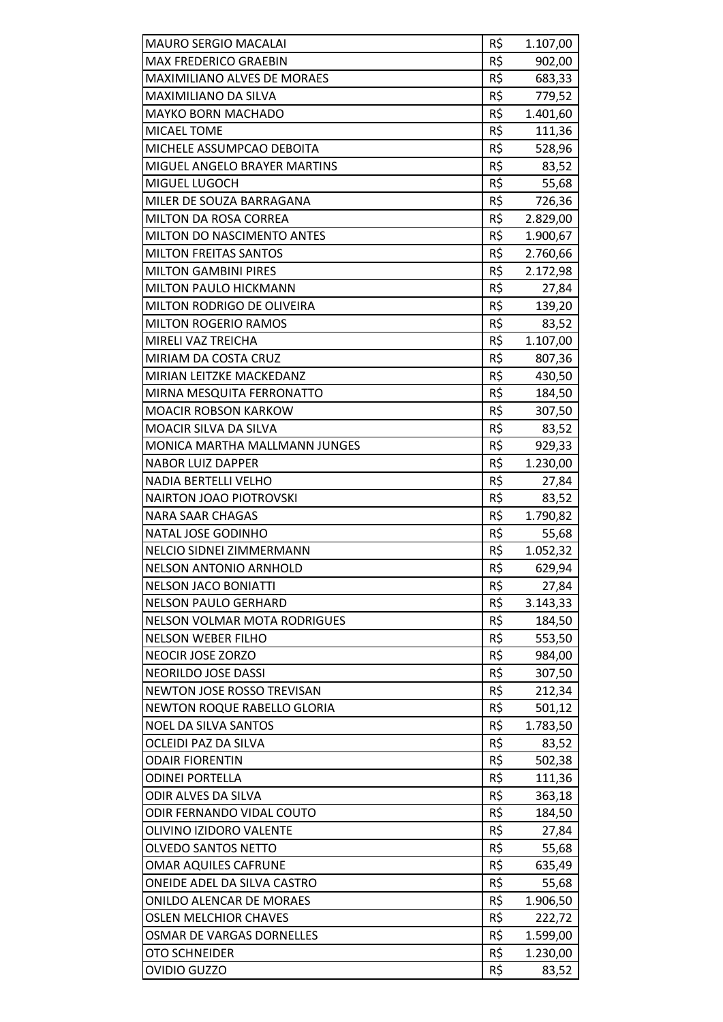| <b>MAURO SERGIO MACALAI</b>         | R\$ | 1.107,00 |
|-------------------------------------|-----|----------|
| <b>MAX FREDERICO GRAEBIN</b>        | R\$ | 902,00   |
| <b>MAXIMILIANO ALVES DE MORAES</b>  | R\$ | 683,33   |
| MAXIMILIANO DA SILVA                | R\$ | 779,52   |
| <b>MAYKO BORN MACHADO</b>           | R\$ | 1.401,60 |
| <b>MICAEL TOME</b>                  | R\$ | 111,36   |
| MICHELE ASSUMPCAO DEBOITA           | R\$ | 528,96   |
| MIGUEL ANGELO BRAYER MARTINS        | R\$ | 83,52    |
| MIGUEL LUGOCH                       | R\$ | 55,68    |
| MILER DE SOUZA BARRAGANA            | R\$ | 726,36   |
| MILTON DA ROSA CORREA               | R\$ | 2.829,00 |
| <b>MILTON DO NASCIMENTO ANTES</b>   | R\$ | 1.900,67 |
| <b>MILTON FREITAS SANTOS</b>        | R\$ | 2.760,66 |
| <b>MILTON GAMBINI PIRES</b>         | R\$ | 2.172,98 |
| MILTON PAULO HICKMANN               | R\$ | 27,84    |
| MILTON RODRIGO DE OLIVEIRA          | R\$ | 139,20   |
| <b>MILTON ROGERIO RAMOS</b>         | R\$ | 83,52    |
| MIRELI VAZ TREICHA                  | R\$ | 1.107,00 |
| MIRIAM DA COSTA CRUZ                | R\$ | 807,36   |
| MIRIAN LEITZKE MACKEDANZ            | R\$ | 430,50   |
| MIRNA MESQUITA FERRONATTO           | R\$ | 184,50   |
| <b>MOACIR ROBSON KARKOW</b>         | R\$ | 307,50   |
| MOACIR SILVA DA SILVA               | R\$ | 83,52    |
| MONICA MARTHA MALLMANN JUNGES       | R\$ | 929,33   |
| <b>NABOR LUIZ DAPPER</b>            | R\$ | 1.230,00 |
| <b>NADIA BERTELLI VELHO</b>         | R\$ | 27,84    |
| <b>NAIRTON JOAO PIOTROVSKI</b>      | R\$ | 83,52    |
| <b>NARA SAAR CHAGAS</b>             | R\$ | 1.790,82 |
| NATAL JOSE GODINHO                  | R\$ | 55,68    |
| NELCIO SIDNEI ZIMMERMANN            | R\$ | 1.052,32 |
| <b>NELSON ANTONIO ARNHOLD</b>       | R\$ | 629,94   |
| <b>NELSON JACO BONIATTI</b>         | R\$ | 27,84    |
| <b>NELSON PAULO GERHARD</b>         | R\$ | 3.143,33 |
| <b>NELSON VOLMAR MOTA RODRIGUES</b> | R\$ | 184,50   |
| <b>NELSON WEBER FILHO</b>           | R\$ | 553,50   |
| NEOCIR JOSE ZORZO                   | R\$ | 984,00   |
| NEORILDO JOSE DASSI                 | R\$ | 307,50   |
| NEWTON JOSE ROSSO TREVISAN          | R\$ | 212,34   |
| <b>NEWTON ROQUE RABELLO GLORIA</b>  | R\$ | 501,12   |
| <b>NOEL DA SILVA SANTOS</b>         | R\$ | 1.783,50 |
| OCLEIDI PAZ DA SILVA                | R\$ | 83,52    |
| <b>ODAIR FIORENTIN</b>              | R\$ | 502,38   |
| <b>ODINEI PORTELLA</b>              | R\$ | 111,36   |
| ODIR ALVES DA SILVA                 | R\$ | 363,18   |
| ODIR FERNANDO VIDAL COUTO           | R\$ | 184,50   |
| OLIVINO IZIDORO VALENTE             | R\$ | 27,84    |
| OLVEDO SANTOS NETTO                 | R\$ | 55,68    |
| <b>OMAR AQUILES CAFRUNE</b>         | R\$ | 635,49   |
| ONEIDE ADEL DA SILVA CASTRO         | R\$ | 55,68    |
| <b>ONILDO ALENCAR DE MORAES</b>     | R\$ | 1.906,50 |
| <b>OSLEN MELCHIOR CHAVES</b>        | R\$ | 222,72   |
| OSMAR DE VARGAS DORNELLES           | R\$ | 1.599,00 |
| <b>OTO SCHNEIDER</b>                | R\$ | 1.230,00 |
| <b>OVIDIO GUZZO</b>                 | R\$ | 83,52    |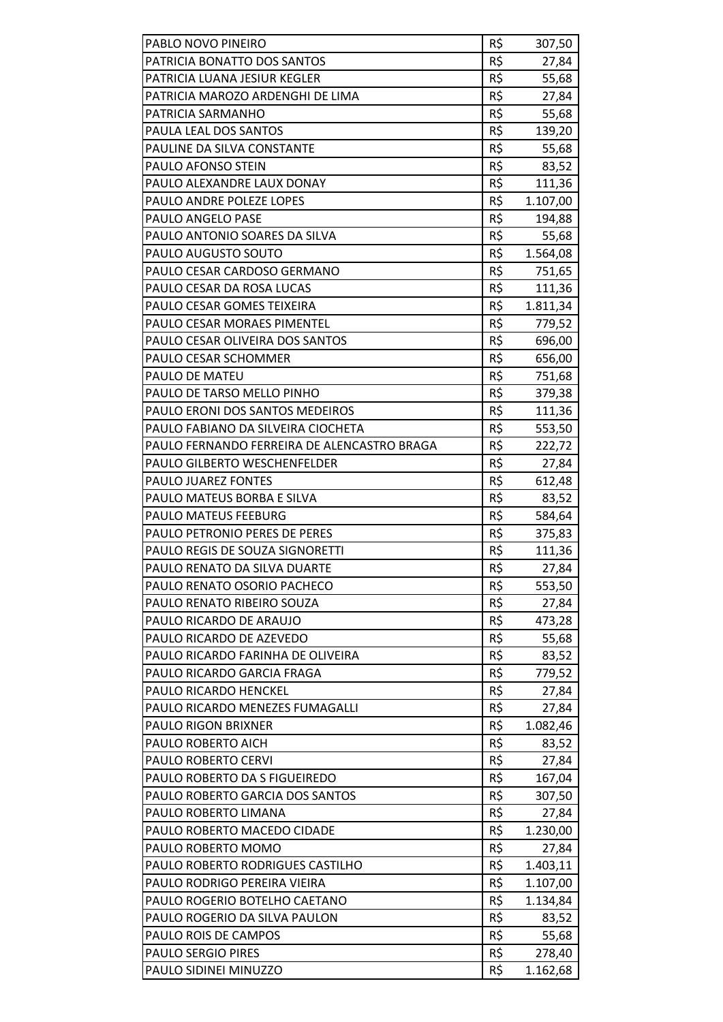| PABLO NOVO PINEIRO                                               | R\$<br>R\$ | 307,50          |
|------------------------------------------------------------------|------------|-----------------|
| PATRICIA BONATTO DOS SANTOS                                      | R\$        | 27,84           |
| PATRICIA LUANA JESIUR KEGLER<br>PATRICIA MAROZO ARDENGHI DE LIMA | R\$        | 55,68           |
| PATRICIA SARMANHO                                                | R\$        | 27,84           |
| PAULA LEAL DOS SANTOS                                            | R\$        | 55,68           |
| PAULINE DA SILVA CONSTANTE                                       | R\$        | 139,20          |
| PAULO AFONSO STEIN                                               | R\$        | 55,68           |
| PAULO ALEXANDRE LAUX DONAY                                       | R\$        | 83,52<br>111,36 |
| PAULO ANDRE POLEZE LOPES                                         | R\$        | 1.107,00        |
| PAULO ANGELO PASE                                                | R\$        | 194,88          |
| PAULO ANTONIO SOARES DA SILVA                                    | R\$        | 55,68           |
| PAULO AUGUSTO SOUTO                                              | R\$        |                 |
| PAULO CESAR CARDOSO GERMANO                                      | R\$        | 1.564,08        |
|                                                                  | R\$        | 751,65          |
| PAULO CESAR DA ROSA LUCAS                                        |            | 111,36          |
| PAULO CESAR GOMES TEIXEIRA                                       | R\$        | 1.811,34        |
| PAULO CESAR MORAES PIMENTEL                                      | R\$        | 779,52          |
| PAULO CESAR OLIVEIRA DOS SANTOS                                  | R\$        | 696,00          |
| PAULO CESAR SCHOMMER                                             | R\$        | 656,00          |
| PAULO DE MATEU                                                   | R\$        | 751,68          |
| PAULO DE TARSO MELLO PINHO                                       | R\$        | 379,38          |
| PAULO ERONI DOS SANTOS MEDEIROS                                  | R\$        | 111,36          |
| PAULO FABIANO DA SILVEIRA CIOCHETA                               | R\$        | 553,50          |
| PAULO FERNANDO FERREIRA DE ALENCASTRO BRAGA                      | R\$        | 222,72          |
| <b>PAULO GILBERTO WESCHENFELDER</b>                              | R\$        | 27,84           |
| PAULO JUAREZ FONTES                                              | R\$        | 612,48          |
| PAULO MATEUS BORBA E SILVA                                       | R\$        | 83,52           |
| <b>PAULO MATEUS FEEBURG</b>                                      | R\$        | 584,64          |
| <b>PAULO PETRONIO PERES DE PERES</b>                             | R\$        | 375,83          |
| PAULO REGIS DE SOUZA SIGNORETTI                                  | R\$        | 111,36          |
| PAULO RENATO DA SILVA DUARTE                                     | R\$        | 27,84           |
| PAULO RENATO OSORIO PACHECO                                      | R\$        | 553,50          |
| PAULO RENATO RIBEIRO SOUZA                                       | R\$        | 27,84           |
| PAULO RICARDO DE ARAUJO                                          | R\$        | 473,28          |
| PAULO RICARDO DE AZEVEDO                                         | R\$        | 55,68           |
| PAULO RICARDO FARINHA DE OLIVEIRA                                | R\$        | 83,52           |
| PAULO RICARDO GARCIA FRAGA                                       | R\$        | 779,52          |
| PAULO RICARDO HENCKEL                                            | R\$        | 27,84           |
| PAULO RICARDO MENEZES FUMAGALLI                                  | R\$        | 27,84           |
| <b>PAULO RIGON BRIXNER</b>                                       | R\$        | 1.082,46        |
| PAULO ROBERTO AICH                                               | R\$        | 83,52           |
| PAULO ROBERTO CERVI                                              | R\$        | 27,84           |
| PAULO ROBERTO DA S FIGUEIREDO                                    | R\$<br>R\$ | 167,04          |
| PAULO ROBERTO GARCIA DOS SANTOS<br>PAULO ROBERTO LIMANA          | R\$        | 307,50          |
|                                                                  | R\$        | 27,84           |
| PAULO ROBERTO MACEDO CIDADE<br>PAULO ROBERTO MOMO                | R\$        | 1.230,00        |
| PAULO ROBERTO RODRIGUES CASTILHO                                 | R\$        | 27,84           |
|                                                                  | R\$        | 1.403,11        |
| PAULO RODRIGO PEREIRA VIEIRA                                     |            | 1.107,00        |
| PAULO ROGERIO BOTELHO CAETANO<br>PAULO ROGERIO DA SILVA PAULON   | R\$<br>R\$ | 1.134,84        |
|                                                                  | R\$        | 83,52           |
| PAULO ROIS DE CAMPOS<br><b>PAULO SERGIO PIRES</b>                |            | 55,68           |
| PAULO SIDINEI MINUZZO                                            | R\$<br>R\$ | 278,40          |
|                                                                  |            | 1.162,68        |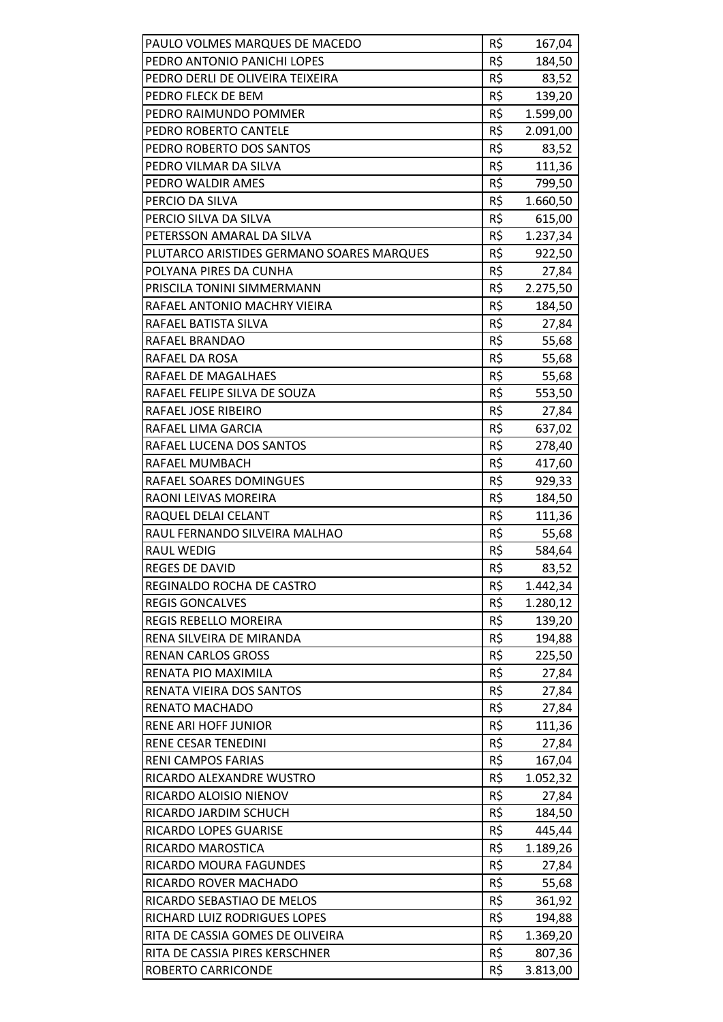| PAULO VOLMES MARQUES DE MACEDO            | R\$ | 167,04   |
|-------------------------------------------|-----|----------|
| PEDRO ANTONIO PANICHI LOPES               | R\$ | 184,50   |
| PEDRO DERLI DE OLIVEIRA TEIXEIRA          | R\$ | 83,52    |
| PEDRO FLECK DE BEM                        | R\$ | 139,20   |
| PEDRO RAIMUNDO POMMER                     | R\$ | 1.599,00 |
| PEDRO ROBERTO CANTELE                     | R\$ | 2.091,00 |
| PEDRO ROBERTO DOS SANTOS                  | R\$ | 83,52    |
| PEDRO VILMAR DA SILVA                     | R\$ | 111,36   |
| PEDRO WALDIR AMES                         | R\$ | 799,50   |
| PERCIO DA SILVA                           | R\$ | 1.660,50 |
| PERCIO SILVA DA SILVA                     | R\$ | 615,00   |
| PETERSSON AMARAL DA SILVA                 | R\$ | 1.237,34 |
| PLUTARCO ARISTIDES GERMANO SOARES MARQUES | R\$ | 922,50   |
| POLYANA PIRES DA CUNHA                    | R\$ | 27,84    |
| PRISCILA TONINI SIMMERMANN                | R\$ | 2.275,50 |
| RAFAEL ANTONIO MACHRY VIEIRA              | R\$ | 184,50   |
| RAFAEL BATISTA SILVA                      | R\$ | 27,84    |
| RAFAEL BRANDAO                            | R\$ | 55,68    |
| RAFAEL DA ROSA                            | R\$ | 55,68    |
| RAFAEL DE MAGALHAES                       | R\$ | 55,68    |
| RAFAEL FELIPE SILVA DE SOUZA              | R\$ | 553,50   |
| RAFAEL JOSE RIBEIRO                       | R\$ | 27,84    |
| RAFAEL LIMA GARCIA                        | R\$ | 637,02   |
| RAFAEL LUCENA DOS SANTOS                  | R\$ | 278,40   |
| RAFAEL MUMBACH                            | R\$ | 417,60   |
| RAFAEL SOARES DOMINGUES                   | R\$ | 929,33   |
| RAONI LEIVAS MOREIRA                      | R\$ | 184,50   |
| RAQUEL DELAI CELANT                       | R\$ | 111,36   |
| RAUL FERNANDO SILVEIRA MALHAO             | R\$ | 55,68    |
| <b>RAUL WEDIG</b>                         | R\$ | 584,64   |
| <b>REGES DE DAVID</b>                     | R\$ | 83,52    |
| REGINALDO ROCHA DE CASTRO                 | R\$ | 1.442,34 |
| <b>REGIS GONCALVES</b>                    | R\$ | 1.280,12 |
| <b>REGIS REBELLO MOREIRA</b>              | R\$ | 139,20   |
| RENA SILVEIRA DE MIRANDA                  | R\$ | 194,88   |
| <b>RENAN CARLOS GROSS</b>                 | R\$ | 225,50   |
| RENATA PIO MAXIMILA                       | R\$ | 27,84    |
| RENATA VIEIRA DOS SANTOS                  | R\$ | 27,84    |
| RENATO MACHADO                            | R\$ | 27,84    |
| <b>RENE ARI HOFF JUNIOR</b>               | R\$ | 111,36   |
| <b>RENE CESAR TENEDINI</b>                | R\$ | 27,84    |
| <b>RENI CAMPOS FARIAS</b>                 | R\$ | 167,04   |
| RICARDO ALEXANDRE WUSTRO                  | R\$ | 1.052,32 |
| RICARDO ALOISIO NIENOV                    | R\$ | 27,84    |
| RICARDO JARDIM SCHUCH                     | R\$ | 184,50   |
| RICARDO LOPES GUARISE                     | R\$ | 445,44   |
| RICARDO MAROSTICA                         | R\$ | 1.189,26 |
| RICARDO MOURA FAGUNDES                    | R\$ | 27,84    |
| RICARDO ROVER MACHADO                     | R\$ | 55,68    |
| RICARDO SEBASTIAO DE MELOS                | R\$ | 361,92   |
| RICHARD LUIZ RODRIGUES LOPES              | R\$ | 194,88   |
| RITA DE CASSIA GOMES DE OLIVEIRA          | R\$ | 1.369,20 |
| RITA DE CASSIA PIRES KERSCHNER            | R\$ | 807,36   |
| ROBERTO CARRICONDE                        | R\$ | 3.813,00 |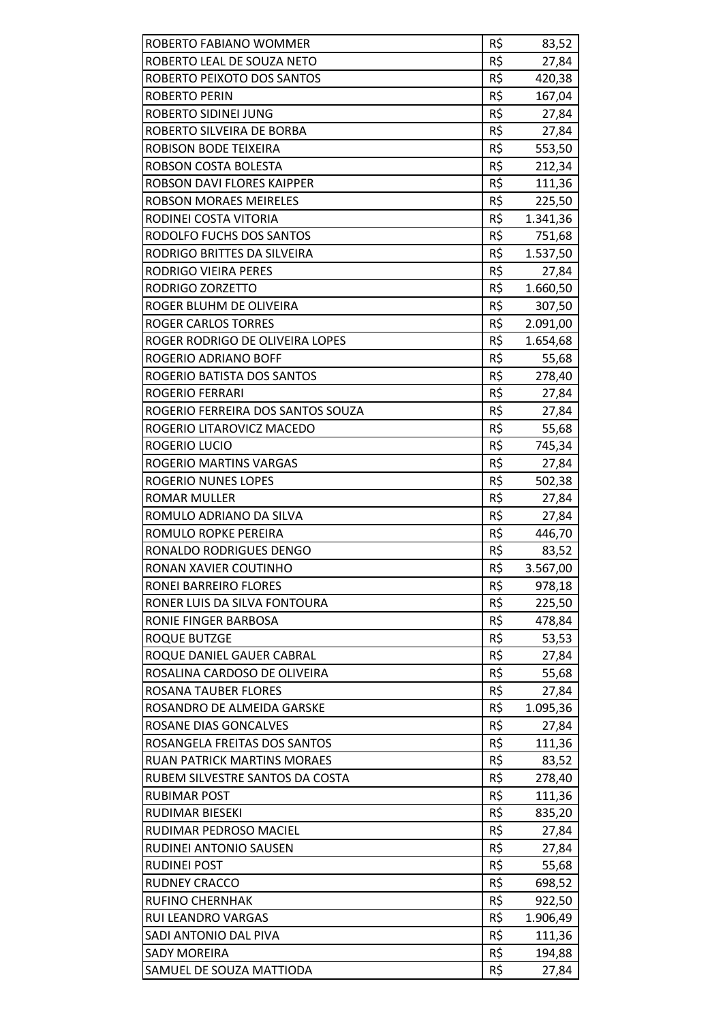| ROBERTO FABIANO WOMMER             | R\$ | 83,52    |
|------------------------------------|-----|----------|
| ROBERTO LEAL DE SOUZA NETO         | R\$ | 27,84    |
| ROBERTO PEIXOTO DOS SANTOS         | R\$ | 420,38   |
| <b>ROBERTO PERIN</b>               | R\$ | 167,04   |
| ROBERTO SIDINEI JUNG               | R\$ | 27,84    |
| ROBERTO SILVEIRA DE BORBA          | R\$ | 27,84    |
| ROBISON BODE TEIXEIRA              | R\$ | 553,50   |
| ROBSON COSTA BOLESTA               | R\$ | 212,34   |
| ROBSON DAVI FLORES KAIPPER         | R\$ | 111,36   |
| <b>ROBSON MORAES MEIRELES</b>      | R\$ | 225,50   |
| RODINEI COSTA VITORIA              | R\$ | 1.341,36 |
| RODOLFO FUCHS DOS SANTOS           | R\$ | 751,68   |
| RODRIGO BRITTES DA SILVEIRA        | R\$ | 1.537,50 |
| RODRIGO VIEIRA PERES               | R\$ | 27,84    |
| RODRIGO ZORZETTO                   | R\$ | 1.660,50 |
| ROGER BLUHM DE OLIVEIRA            | R\$ | 307,50   |
| <b>ROGER CARLOS TORRES</b>         | R\$ | 2.091,00 |
| ROGER RODRIGO DE OLIVEIRA LOPES    | R\$ | 1.654,68 |
| ROGERIO ADRIANO BOFF               | R\$ | 55,68    |
| ROGERIO BATISTA DOS SANTOS         | R\$ | 278,40   |
| <b>ROGERIO FERRARI</b>             | R\$ | 27,84    |
| ROGERIO FERREIRA DOS SANTOS SOUZA  | R\$ | 27,84    |
| ROGERIO LITAROVICZ MACEDO          | R\$ | 55,68    |
| ROGERIO LUCIO                      | R\$ | 745,34   |
| ROGERIO MARTINS VARGAS             | R\$ | 27,84    |
| <b>ROGERIO NUNES LOPES</b>         | R\$ | 502,38   |
| <b>ROMAR MULLER</b>                | R\$ | 27,84    |
| ROMULO ADRIANO DA SILVA            | R\$ | 27,84    |
| ROMULO ROPKE PEREIRA               | R\$ | 446,70   |
| RONALDO RODRIGUES DENGO            | R\$ | 83,52    |
| RONAN XAVIER COUTINHO              | R\$ | 3.567,00 |
| RONEI BARREIRO FLORES              | R\$ | 978,18   |
| RONER LUIS DA SILVA FONTOURA       | R\$ | 225,50   |
| RONIE FINGER BARBOSA               | R\$ | 478,84   |
| <b>ROQUE BUTZGE</b>                | R\$ | 53,53    |
| ROQUE DANIEL GAUER CABRAL          | R\$ | 27,84    |
| ROSALINA CARDOSO DE OLIVEIRA       | R\$ | 55,68    |
| ROSANA TAUBER FLORES               | R\$ | 27,84    |
| ROSANDRO DE ALMEIDA GARSKE         | R\$ | 1.095,36 |
| <b>ROSANE DIAS GONCALVES</b>       | R\$ | 27,84    |
| ROSANGELA FREITAS DOS SANTOS       | R\$ | 111,36   |
| <b>RUAN PATRICK MARTINS MORAES</b> | R\$ | 83,52    |
| RUBEM SILVESTRE SANTOS DA COSTA    | R\$ | 278,40   |
| RUBIMAR POST                       | R\$ | 111,36   |
| RUDIMAR BIESEKI                    | R\$ | 835,20   |
| RUDIMAR PEDROSO MACIEL             | R\$ | 27,84    |
| RUDINEI ANTONIO SAUSEN             | R\$ | 27,84    |
| <b>RUDINEI POST</b>                | R\$ | 55,68    |
| <b>RUDNEY CRACCO</b>               | R\$ | 698,52   |
| <b>RUFINO CHERNHAK</b>             | R\$ | 922,50   |
| <b>RUI LEANDRO VARGAS</b>          | R\$ | 1.906,49 |
| SADI ANTONIO DAL PIVA              | R\$ | 111,36   |
| <b>SADY MOREIRA</b>                | R\$ | 194,88   |
| SAMUEL DE SOUZA MATTIODA           | R\$ | 27,84    |
|                                    |     |          |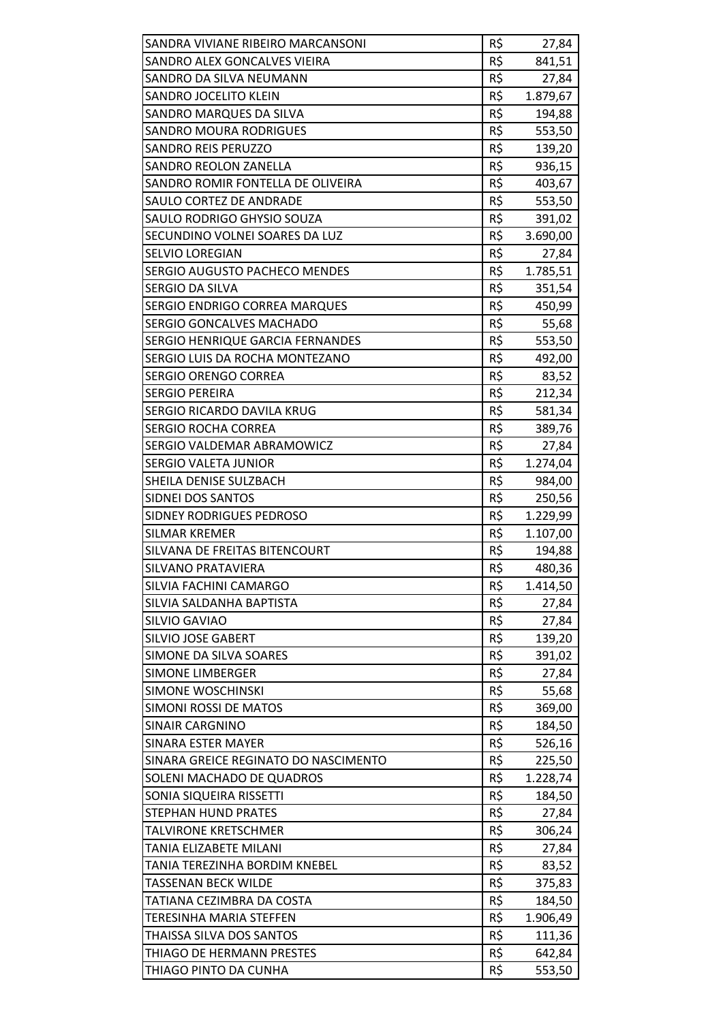| SANDRA VIVIANE RIBEIRO MARCANSONI    | R\$ | 27,84    |
|--------------------------------------|-----|----------|
| SANDRO ALEX GONCALVES VIEIRA         | R\$ | 841,51   |
| SANDRO DA SILVA NEUMANN              | R\$ | 27,84    |
| SANDRO JOCELITO KLEIN                | R\$ | 1.879,67 |
| SANDRO MARQUES DA SILVA              | R\$ | 194,88   |
| <b>SANDRO MOURA RODRIGUES</b>        | R\$ | 553,50   |
| <b>SANDRO REIS PERUZZO</b>           | R\$ | 139,20   |
| <b>SANDRO REOLON ZANELLA</b>         | R\$ | 936,15   |
| SANDRO ROMIR FONTELLA DE OLIVEIRA    | R\$ | 403,67   |
| SAULO CORTEZ DE ANDRADE              | R\$ | 553,50   |
| SAULO RODRIGO GHYSIO SOUZA           | R\$ | 391,02   |
| SECUNDINO VOLNEI SOARES DA LUZ       | R\$ | 3.690,00 |
| <b>SELVIO LOREGIAN</b>               | R\$ | 27,84    |
| SERGIO AUGUSTO PACHECO MENDES        | R\$ | 1.785,51 |
| SERGIO DA SILVA                      | R\$ | 351,54   |
| SERGIO ENDRIGO CORREA MARQUES        | R\$ | 450,99   |
| <b>SERGIO GONCALVES MACHADO</b>      | R\$ | 55,68    |
| SERGIO HENRIQUE GARCIA FERNANDES     | R\$ | 553,50   |
| SERGIO LUIS DA ROCHA MONTEZANO       | R\$ | 492,00   |
| SERGIO ORENGO CORREA                 | R\$ | 83,52    |
| <b>SERGIO PEREIRA</b>                | R\$ | 212,34   |
| SERGIO RICARDO DAVILA KRUG           | R\$ | 581,34   |
| <b>SERGIO ROCHA CORREA</b>           | R\$ | 389,76   |
| SERGIO VALDEMAR ABRAMOWICZ           | R\$ | 27,84    |
| <b>SERGIO VALETA JUNIOR</b>          | R\$ | 1.274,04 |
| SHEILA DENISE SULZBACH               | R\$ | 984,00   |
| SIDNEI DOS SANTOS                    | R\$ | 250,56   |
| SIDNEY RODRIGUES PEDROSO             | R\$ | 1.229,99 |
| <b>SILMAR KREMER</b>                 | R\$ | 1.107,00 |
| SILVANA DE FREITAS BITENCOURT        | R\$ | 194,88   |
| SILVANO PRATAVIERA                   | R\$ | 480,36   |
| SILVIA FACHINI CAMARGO               | R\$ | 1.414,50 |
| SILVIA SALDANHA BAPTISTA             | R\$ | 27,84    |
| SILVIO GAVIAO                        | R\$ | 27,84    |
| <b>SILVIO JOSE GABERT</b>            | R\$ | 139,20   |
| SIMONE DA SILVA SOARES               | R\$ | 391,02   |
| <b>SIMONE LIMBERGER</b>              | R\$ | 27,84    |
| <b>SIMONE WOSCHINSKI</b>             | R\$ | 55,68    |
| <b>SIMONI ROSSI DE MATOS</b>         | R\$ | 369,00   |
| <b>SINAIR CARGNINO</b>               | R\$ | 184,50   |
| <b>SINARA ESTER MAYER</b>            | R\$ | 526,16   |
| SINARA GREICE REGINATO DO NASCIMENTO | R\$ | 225,50   |
| SOLENI MACHADO DE QUADROS            | R\$ | 1.228,74 |
| SONIA SIQUEIRA RISSETTI              | R\$ | 184,50   |
| <b>STEPHAN HUND PRATES</b>           | R\$ | 27,84    |
| <b>TALVIRONE KRETSCHMER</b>          | R\$ | 306,24   |
| TANIA ELIZABETE MILANI               | R\$ | 27,84    |
| TANIA TEREZINHA BORDIM KNEBEL        | R\$ | 83,52    |
| <b>TASSENAN BECK WILDE</b>           | R\$ | 375,83   |
| TATIANA CEZIMBRA DA COSTA            | R\$ | 184,50   |
| <b>TERESINHA MARIA STEFFEN</b>       | R\$ | 1.906,49 |
| THAISSA SILVA DOS SANTOS             | R\$ | 111,36   |
| THIAGO DE HERMANN PRESTES            | R\$ | 642,84   |
| THIAGO PINTO DA CUNHA                | R\$ | 553,50   |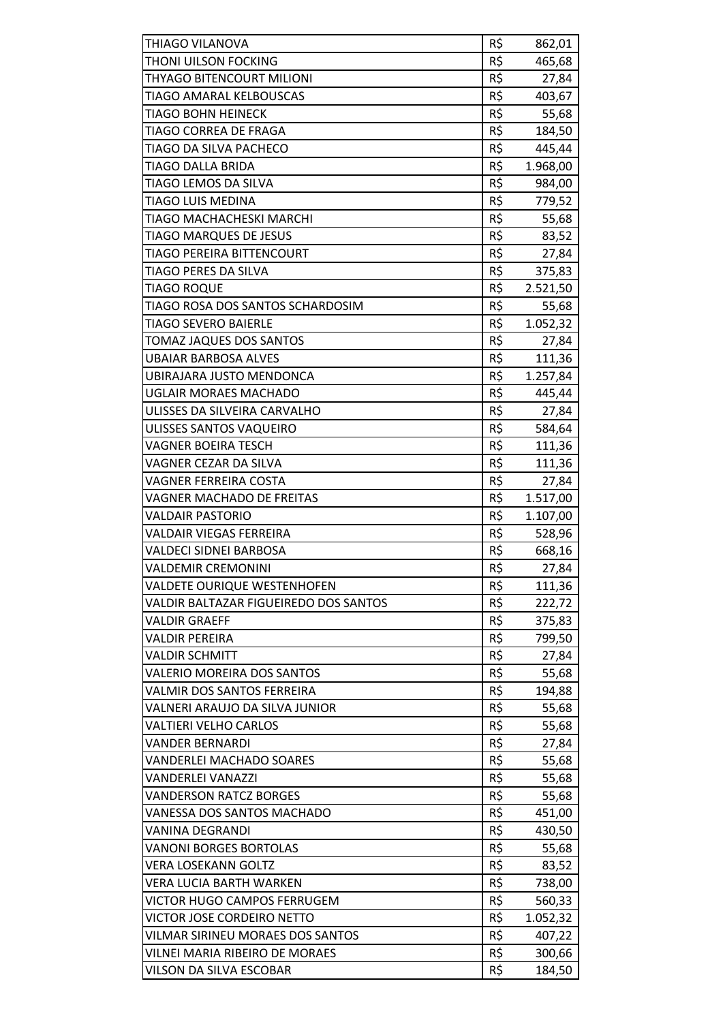| THIAGO VILANOVA                                              | R\$        | 862,01           |
|--------------------------------------------------------------|------------|------------------|
| THONI UILSON FOCKING                                         | R\$        | 465,68           |
| THYAGO BITENCOURT MILIONI                                    | R\$        | 27,84            |
| TIAGO AMARAL KELBOUSCAS                                      | R\$        | 403,67           |
| <b>TIAGO BOHN HEINECK</b>                                    | R\$        | 55,68            |
| TIAGO CORREA DE FRAGA                                        | R\$        | 184,50           |
| TIAGO DA SILVA PACHECO                                       | R\$        | 445,44           |
| <b>TIAGO DALLA BRIDA</b>                                     | R\$        | 1.968,00         |
| TIAGO LEMOS DA SILVA                                         | R\$        | 984,00           |
| <b>TIAGO LUIS MEDINA</b>                                     | R\$        | 779,52           |
| TIAGO MACHACHESKI MARCHI                                     | R\$        | 55,68            |
| <b>TIAGO MARQUES DE JESUS</b>                                | R\$        | 83,52            |
| TIAGO PEREIRA BITTENCOURT                                    | R\$        | 27,84            |
| TIAGO PERES DA SILVA                                         | R\$        | 375,83           |
| <b>TIAGO ROQUE</b>                                           | R\$        | 2.521,50         |
| TIAGO ROSA DOS SANTOS SCHARDOSIM                             | R\$        | 55,68            |
| <b>TIAGO SEVERO BAIERLE</b>                                  | R\$        | 1.052,32         |
| <b>TOMAZ JAQUES DOS SANTOS</b>                               | R\$        | 27,84            |
| <b>UBAIAR BARBOSA ALVES</b>                                  | R\$        | 111,36           |
| UBIRAJARA JUSTO MENDONCA                                     | R\$        | 1.257,84         |
| <b>UGLAIR MORAES MACHADO</b>                                 | R\$        | 445,44           |
| ULISSES DA SILVEIRA CARVALHO                                 | R\$        | 27,84            |
| ULISSES SANTOS VAQUEIRO                                      | R\$        | 584,64           |
| <b>VAGNER BOEIRA TESCH</b>                                   | R\$        | 111,36           |
| VAGNER CEZAR DA SILVA                                        | R\$        | 111,36           |
| <b>VAGNER FERREIRA COSTA</b>                                 | R\$        | 27,84            |
| <b>VAGNER MACHADO DE FREITAS</b>                             | R\$        | 1.517,00         |
| <b>VALDAIR PASTORIO</b>                                      | R\$        | 1.107,00         |
| <b>VALDAIR VIEGAS FERREIRA</b>                               | R\$        | 528,96           |
| VALDECI SIDNEI BARBOSA                                       | R\$        | 668,16           |
| <b>VALDEMIR CREMONINI</b>                                    | R\$        | 27,84            |
| <b>VALDETE OURIQUE WESTENHOFEN</b>                           | R\$        | 111,36           |
| VALDIR BALTAZAR FIGUEIREDO DOS SANTOS                        | R\$        | 222,72           |
| <b>VALDIR GRAEFF</b>                                         | R\$        | 375,83           |
| <b>VALDIR PEREIRA</b>                                        | R\$        | 799,50           |
| <b>VALDIR SCHMITT</b>                                        | R\$        | 27,84            |
| <b>VALERIO MOREIRA DOS SANTOS</b>                            | R\$        | 55,68            |
| <b>VALMIR DOS SANTOS FERREIRA</b>                            | R\$        | 194,88           |
| VALNERI ARAUJO DA SILVA JUNIOR                               | R\$        | 55,68            |
| <b>VALTIERI VELHO CARLOS</b>                                 | R\$        | 55,68            |
| <b>VANDER BERNARDI</b>                                       | R\$        | 27,84            |
| <b>VANDERLEI MACHADO SOARES</b>                              | R\$        | 55,68            |
| <b>VANDERLEI VANAZZI</b>                                     | R\$        | 55,68            |
| <b>VANDERSON RATCZ BORGES</b>                                | R\$        | 55,68            |
| VANESSA DOS SANTOS MACHADO                                   | R\$        | 451,00           |
| <b>VANINA DEGRANDI</b>                                       | R\$        | 430,50           |
| <b>VANONI BORGES BORTOLAS</b>                                | R\$        | 55,68            |
| <b>VERA LOSEKANN GOLTZ</b><br><b>VERA LUCIA BARTH WARKEN</b> | R\$<br>R\$ | 83,52            |
| <b>VICTOR HUGO CAMPOS FERRUGEM</b>                           | R\$        | 738,00<br>560,33 |
| VICTOR JOSE CORDEIRO NETTO                                   | R\$        | 1.052,32         |
| VILMAR SIRINEU MORAES DOS SANTOS                             | R\$        | 407,22           |
| VILNEI MARIA RIBEIRO DE MORAES                               | R\$        | 300,66           |
| VILSON DA SILVA ESCOBAR                                      | R\$        | 184,50           |